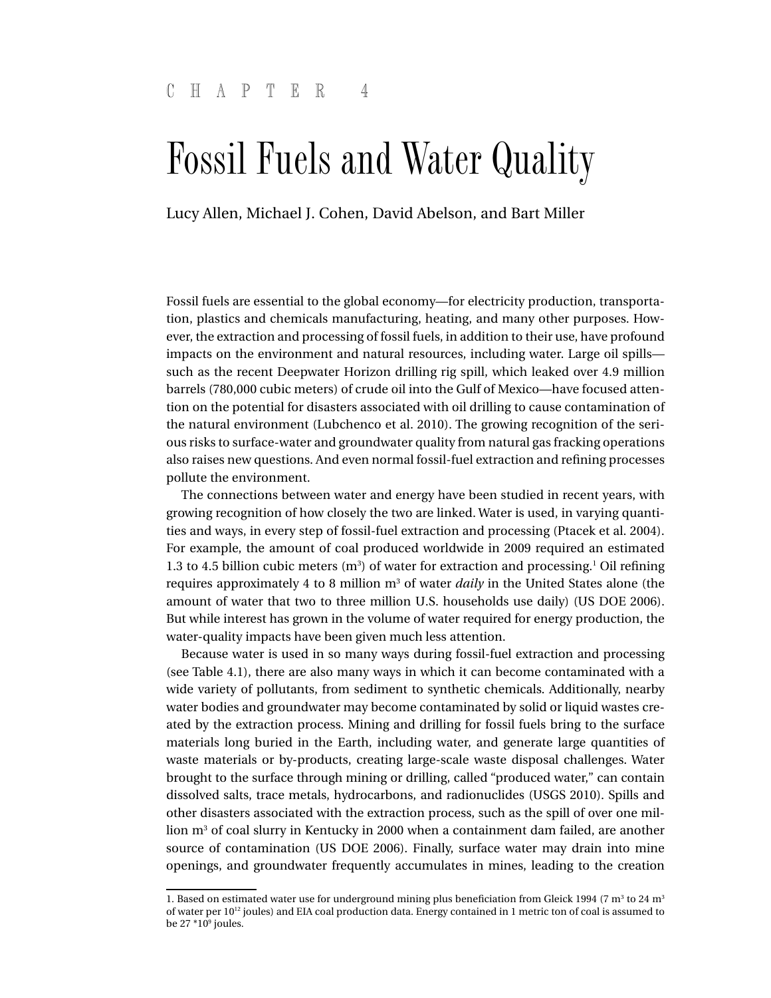## CHAPTER 4

# Fossil Fuels and Water Quality

Lucy Allen, Michael J. Cohen, David Abelson, and Bart Miller

Fossil fuels are essential to the global economy—for electricity production, transportation, plastics and chemicals manufacturing, heating, and many other purposes. However, the extraction and processing of fossil fuels, in addition to their use, have profound impacts on the environment and natural resources, including water. Large oil spills such as the recent Deepwater Horizon drilling rig spill, which leaked over 4.9 million barrels (780,000 cubic meters) of crude oil into the Gulf of Mexico—have focused attention on the potential for disasters associated with oil drilling to cause contamination of the natural environment (Lubchenco et al. 2010). The growing recognition of the serious risks to surface-water and groundwater quality from natural gas fracking operations also raises new questions. And even normal fossil-fuel extraction and refining processes pollute the environment.

The connections between water and energy have been studied in recent years, with growing recognition of how closely the two are linked. Water is used, in varying quantities and ways, in every step of fossil-fuel extraction and processing (Ptacek et al. 2004). For example, the amount of coal produced worldwide in 2009 required an estimated 1.3 to 4.5 billion cubic meters ( $m<sup>3</sup>$ ) of water for extraction and processing.<sup>1</sup> Oil refining requires approximately 4 to 8 million m<sup>3</sup> of water *daily* in the United States alone (the amount of water that two to three million U.S. households use daily) (US DOE 2006). But while interest has grown in the volume of water required for energy production, the water-quality impacts have been given much less attention.

Because water is used in so many ways during fossil-fuel extraction and processing (see Table 4.1), there are also many ways in which it can become contaminated with a wide variety of pollutants, from sediment to synthetic chemicals. Additionally, nearby water bodies and groundwater may become contaminated by solid or liquid wastes created by the extraction process. Mining and drilling for fossil fuels bring to the surface materials long buried in the Earth, including water, and generate large quantities of waste materials or by-products, creating large-scale waste disposal challenges. Water brought to the surface through mining or drilling, called "produced water," can contain dissolved salts, trace metals, hydrocarbons, and radionuclides (USGS 2010). Spills and other disasters associated with the extraction process, such as the spill of over one million  $m^3$  of coal slurry in Kentucky in 2000 when a containment dam failed, are another source of contamination (US DOE 2006). Finally, surface water may drain into mine openings, and groundwater frequently accumulates in mines, leading to the creation

<sup>1.</sup> Based on estimated water use for underground mining plus beneficiation from Gleick 1994 (7 m $^3$  to 24 m $^3$ of water per  $10^{12}$  joules) and EIA coal production data. Energy contained in 1 metric ton of coal is assumed to be 27 \*109 joules.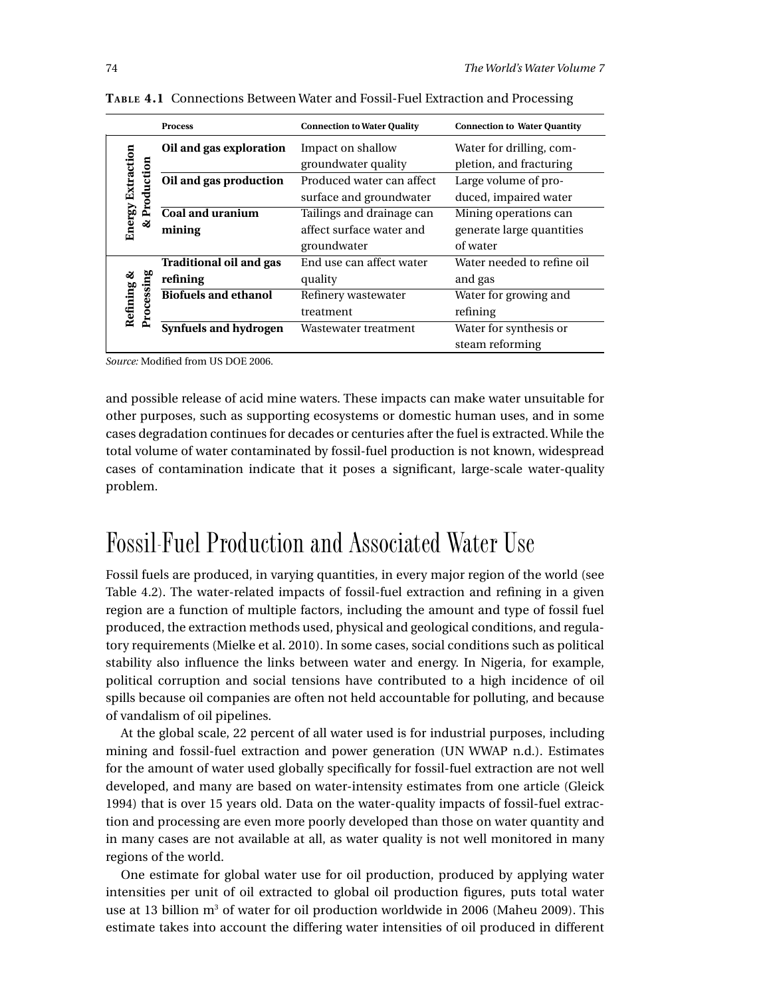|                                   | <b>Process</b>                 | <b>Connection to Water Quality</b> | <b>Connection to Water Quantity</b> |  |
|-----------------------------------|--------------------------------|------------------------------------|-------------------------------------|--|
|                                   | Oil and gas exploration        | Impact on shallow                  | Water for drilling, com-            |  |
|                                   |                                | groundwater quality                | pletion, and fracturing             |  |
|                                   | Oil and gas production         | Produced water can affect          | Large volume of pro-                |  |
| Energy Extraction<br>& Production |                                | surface and groundwater            | duced, impaired water               |  |
|                                   | Coal and uranium               | Tailings and drainage can          | Mining operations can               |  |
|                                   | mining                         | affect surface water and           | generate large quantities           |  |
|                                   |                                | groundwater                        | of water                            |  |
|                                   | <b>Traditional oil and gas</b> | End use can affect water           | Water needed to refine oil          |  |
|                                   | refining                       | quality                            | and gas                             |  |
|                                   | <b>Biofuels and ethanol</b>    | Refinery wastewater                | Water for growing and               |  |
| Processing<br>Refining &          |                                | treatment                          | refining                            |  |
|                                   | Synfuels and hydrogen          | Wastewater treatment               | Water for synthesis or              |  |
|                                   |                                |                                    | steam reforming                     |  |

**TABLE 4.1** Connections Between Water and Fossil-Fuel Extraction and Processing

*Source:* Modified from US DOE 2006.

and possible release of acid mine waters. These impacts can make water unsuitable for other purposes, such as supporting ecosystems or domestic human uses, and in some cases degradation continues for decades or centuries after the fuel is extracted. While the total volume of water contaminated by fossil-fuel production is not known, widespread cases of contamination indicate that it poses a significant, large-scale water-quality problem.

T USSIT FUUT T TUU UUUTUH AHU TISSUURUUU - WAUUT USU<br>Fossil fuels are produced, in varying quantities, in every major region of the world (see Table 4.2). The water-related impacts of fossil-fuel extraction and refining in a given region are a function of multiple factors, including the amount and type of fossil fuel produced, the extraction methods used, physical and geological conditions, and regulatory requirements (Mielke et al. 2010). In some cases, social conditions such as political stability also influence the links between water and energy. In Nigeria, for example, political corruption and social tensions have contributed to a high incidence of oil spills because oil companies are often not held accountable for polluting, and because of vandalism of oil pipelines.

At the global scale, 22 percent of all water used is for industrial purposes, including mining and fossil-fuel extraction and power generation (UN WWAP n.d.). Estimates for the amount of water used globally specifically for fossil-fuel extraction are not well developed, and many are based on water-intensity estimates from one article (Gleick 1994) that is over 15 years old. Data on the water-quality impacts of fossil-fuel extraction and processing are even more poorly developed than those on water quantity and in many cases are not available at all, as water quality is not well monitored in many regions of the world.

One estimate for global water use for oil production, produced by applying water intensities per unit of oil extracted to global oil production figures, puts total water use at 13 billion m<sup>3</sup> of water for oil production worldwide in 2006 (Maheu 2009). This estimate takes into account the differing water intensities of oil produced in different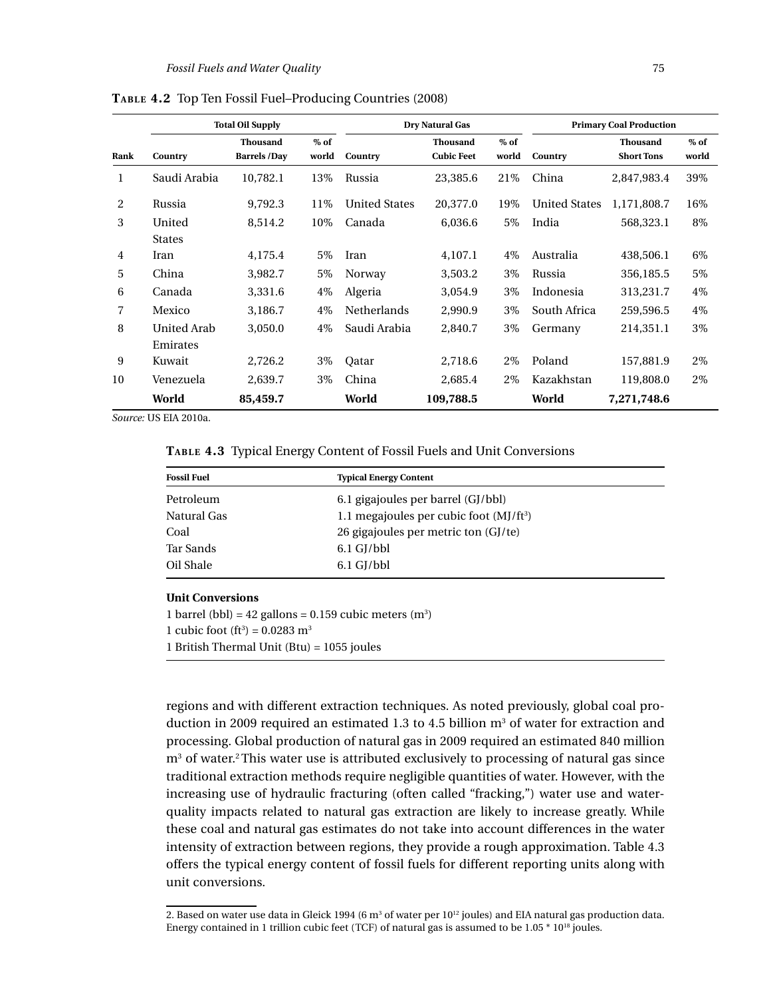|      | <b>Total Oil Supply</b> |                                        |                 | <b>Dry Natural Gas</b> |                                      | <b>Primary Coal Production</b> |                      |                                      |                 |
|------|-------------------------|----------------------------------------|-----------------|------------------------|--------------------------------------|--------------------------------|----------------------|--------------------------------------|-----------------|
| Rank | Country                 | <b>Thousand</b><br><b>Barrels /Day</b> | $%$ of<br>world | Country                | <b>Thousand</b><br><b>Cubic Feet</b> | $%$ of<br>world                | Country              | <b>Thousand</b><br><b>Short Tons</b> | $%$ of<br>world |
| 1    | Saudi Arabia            | 10,782.1                               | 13%             | Russia                 | 23,385.6                             | 21\%                           | China                | 2,847,983.4                          | 39%             |
| 2    | Russia                  | 9,792.3                                | 11\%            | <b>United States</b>   | 20,377.0                             | 19%                            | <b>United States</b> | 1,171,808.7                          | 16%             |
| 3    | United                  | 8,514.2                                | 10%             | Canada                 | 6,036.6                              | 5%                             | India                | 568,323.1                            | 8%              |
|      | <b>States</b>           |                                        |                 |                        |                                      |                                |                      |                                      |                 |
| 4    | Iran                    | 4,175.4                                | 5%              | Iran                   | 4,107.1                              | 4%                             | Australia            | 438,506.1                            | 6%              |
| 5    | China                   | 3,982.7                                | 5%              | Norway                 | 3,503.2                              | 3%                             | Russia               | 356,185.5                            | 5%              |
| 6    | Canada                  | 3,331.6                                | 4%              | Algeria                | 3,054.9                              | 3%                             | Indonesia            | 313,231.7                            | 4%              |
| 7    | Mexico                  | 3,186.7                                | 4%              | <b>Netherlands</b>     | 2,990.9                              | 3%                             | South Africa         | 259,596.5                            | 4%              |
| 8    | <b>United Arab</b>      | 3,050.0                                | 4%              | Saudi Arabia           | 2,840.7                              | 3%                             | Germany              | 214,351.1                            | 3%              |
|      | Emirates                |                                        |                 |                        |                                      |                                |                      |                                      |                 |
| 9    | Kuwait                  | 2,726.2                                | 3%              | Oatar                  | 2,718.6                              | 2%                             | Poland               | 157,881.9                            | 2%              |
| 10   | Venezuela               | 2,639.7                                | 3%              | China                  | 2,685.4                              | 2%                             | Kazakhstan           | 119,808.0                            | 2%              |
|      | World                   | 85,459.7                               |                 | World                  | 109,788.5                            |                                | World                | 7,271,748.6                          |                 |

TABLE 4.2 Top Ten Fossil Fuel–Producing Countries (2008)

*Source:* US EIA 2010a.

TABLE 4.3 Typical Energy Content of Fossil Fuels and Unit Conversions

| <b>Fossil Fuel</b> | <b>Typical Energy Content</b>            |  |
|--------------------|------------------------------------------|--|
| Petroleum          | 6.1 gigajoules per barrel (GJ/bbl)       |  |
| Natural Gas        | 1.1 megajoules per cubic foot $(MJ/ft3)$ |  |
| Coal               | 26 gigajoules per metric ton (GJ/te)     |  |
| Tar Sands          | $6.1 \text{ GJ/bbl}$                     |  |
| Oil Shale          | $6.1 \text{ GJ/bbl}$                     |  |

### **Unit Conversions**

1 barrel (bbl) = 42 gallons =  $0.159$  cubic meters (m<sup>3</sup>) 1 cubic foot  $(ft^3) = 0.0283$  m<sup>3</sup> 1 British Thermal Unit (Btu) = 1055 joules

regions and with different extraction techniques. As noted previously, global coal production in 2009 required an estimated 1.3 to 4.5 billion  $m<sup>3</sup>$  of water for extraction and processing. Global production of natural gas in 2009 required an estimated 840 million m<sup>3</sup> of water.<sup>2</sup> This water use is attributed exclusively to processing of natural gas since traditional extraction methods require negligible quantities of water. However, with the increasing use of hydraulic fracturing (often called "fracking,") water use and waterquality impacts related to natural gas extraction are likely to increase greatly. While these coal and natural gas estimates do not take into account differences in the water intensity of extraction between regions, they provide a rough approximation. Table 4.3 offers the typical energy content of fossil fuels for different reporting units along with unit conversions.

<sup>2.</sup> Based on water use data in Gleick 1994 (6 m $^3$  of water per 10 $^{12}$  joules) and EIA natural gas production data. Energy contained in 1 trillion cubic feet (TCF) of natural gas is assumed to be  $1.05 * 10^{18}$  joules.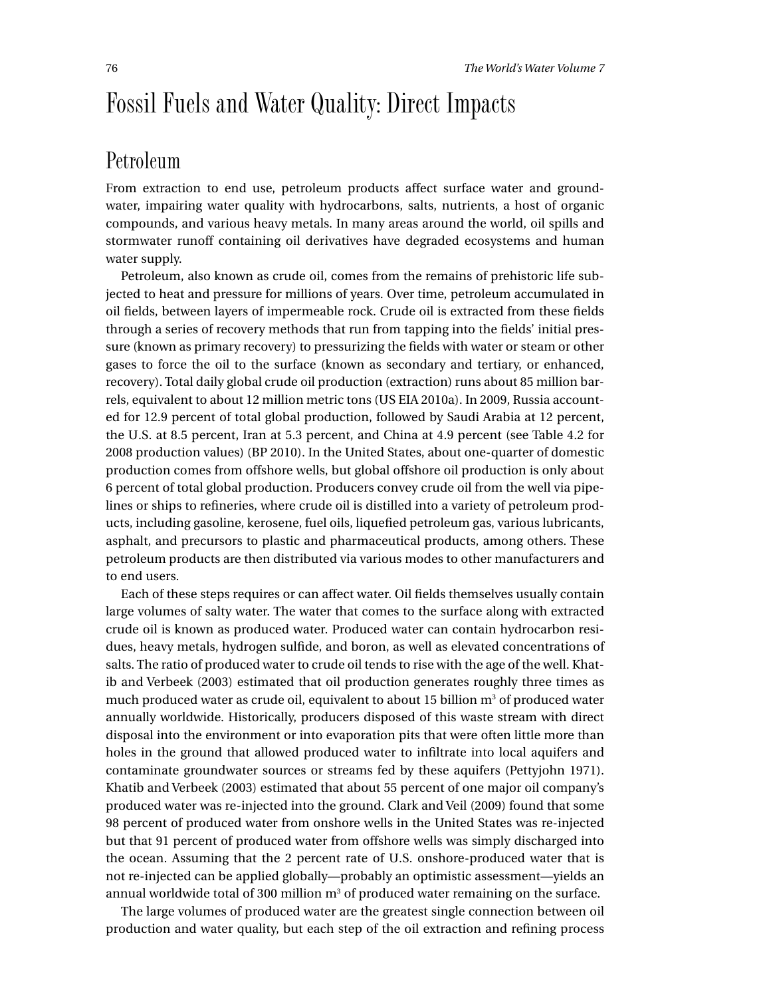## Fossil Fuels and Water Quality: Direct Impacts

1 utroleum<br>From extraction to end use, petroleum products affect surface water and groundwater, impairing water quality with hydrocarbons, salts, nutrients, a host of organic compounds, and various heavy metals. In many areas around the world, oil spills and stormwater runoff containing oil derivatives have degraded ecosystems and human water supply.

Petroleum, also known as crude oil, comes from the remains of prehistoric life subjected to heat and pressure for millions of years. Over time, petroleum accumulated in oil fields, between layers of impermeable rock. Crude oil is extracted from these fields through a series of recovery methods that run from tapping into the fields' initial pressure (known as primary recovery) to pressurizing the fields with water or steam or other gases to force the oil to the surface (known as secondary and tertiary, or enhanced, recovery). Total daily global crude oil production (extraction) runs about 85 million barrels, equivalent to about 12 million metric tons (US EIA 2010a). In 2009, Russia accounted for 12.9 percent of total global production, followed by Saudi Arabia at 12 percent, the U.S. at 8.5 percent, Iran at 5.3 percent, and China at 4.9 percent (see Table 4.2 for 2008 production values) (BP 2010). In the United States, about one-quarter of domestic production comes from offshore wells, but global offshore oil production is only about 6 percent of total global production. Producers convey crude oil from the well via pipelines or ships to refineries, where crude oil is distilled into a variety of petroleum products, including gasoline, kerosene, fuel oils, liquefied petroleum gas, various lubricants, asphalt, and precursors to plastic and pharmaceutical products, among others. These petroleum products are then distributed via various modes to other manufacturers and to end users.

Each of these steps requires or can affect water. Oil fields themselves usually contain large volumes of salty water. The water that comes to the surface along with extracted crude oil is known as produced water. Produced water can contain hydrocarbon residues, heavy metals, hydrogen sulfide, and boron, as well as elevated concentrations of salts. The ratio of produced water to crude oil tends to rise with the age of the well. Khatib and Verbeek (2003) estimated that oil production generates roughly three times as much produced water as crude oil, equivalent to about 15 billion  $\mathrm{m}^{3}$  of produced water annually worldwide. Historically, producers disposed of this waste stream with direct disposal into the environment or into evaporation pits that were often little more than holes in the ground that allowed produced water to infiltrate into local aquifers and contaminate groundwater sources or streams fed by these aquifers (Pettyjohn 1971). Khatib and Verbeek (2003) estimated that about 55 percent of one major oil company's produced water was re-injected into the ground. Clark and Veil (2009) found that some 98 percent of produced water from onshore wells in the United States was re-injected but that 91 percent of produced water from offshore wells was simply discharged into the ocean. Assuming that the 2 percent rate of U.S. onshore-produced water that is not re-injected can be applied globally—probably an optimistic assessment—yields an annual worldwide total of 300 million  $m^3$  of produced water remaining on the surface.

The large volumes of produced water are the greatest single connection between oil production and water quality, but each step of the oil extraction and refining process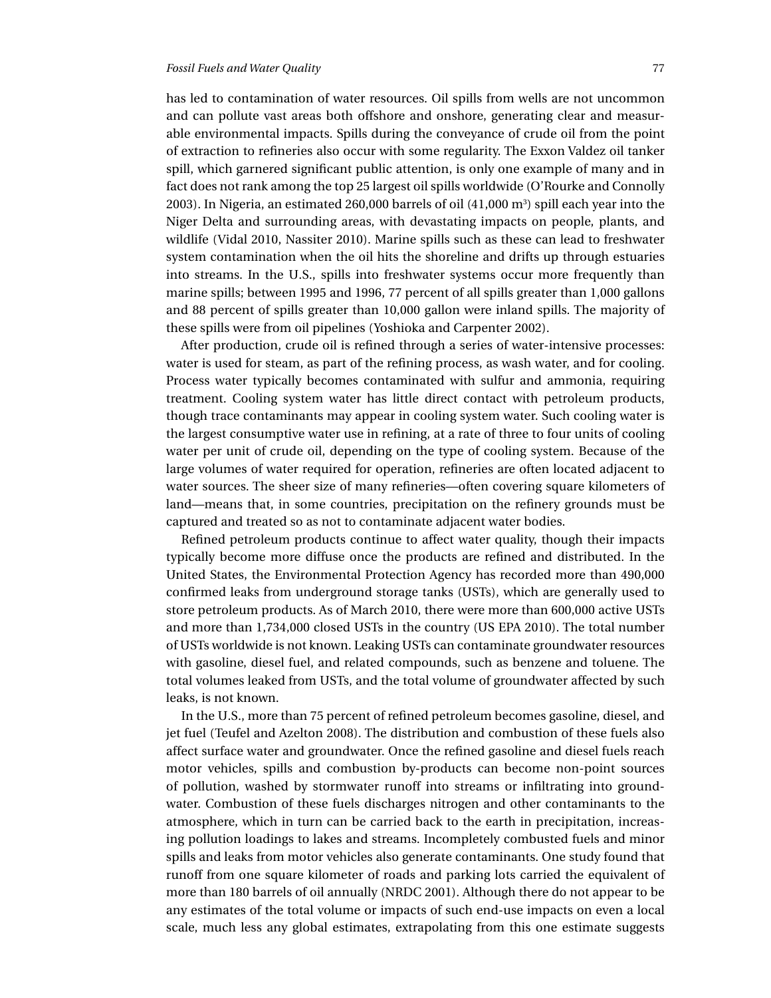has led to contamination of water resources. Oil spills from wells are not uncommon and can pollute vast areas both offshore and onshore, generating clear and measurable environmental impacts. Spills during the conveyance of crude oil from the point of extraction to refineries also occur with some regularity. The Exxon Valdez oil tanker spill, which garnered significant public attention, is only one example of many and in fact does not rank among the top 25 largest oil spills worldwide (O'Rourke and Connolly 2003). In Nigeria, an estimated 260,000 barrels of oil (41,000  $\mathrm{m}^{3}$ ) spill each year into the Niger Delta and surrounding areas, with devastating impacts on people, plants, and wildlife (Vidal 2010, Nassiter 2010). Marine spills such as these can lead to freshwater system contamination when the oil hits the shoreline and drifts up through estuaries into streams. In the U.S., spills into freshwater systems occur more frequently than marine spills; between 1995 and 1996, 77 percent of all spills greater than 1,000 gallons and 88 percent of spills greater than 10,000 gallon were inland spills. The majority of these spills were from oil pipelines (Yoshioka and Carpenter 2002).

After production, crude oil is refined through a series of water-intensive processes: water is used for steam, as part of the refining process, as wash water, and for cooling. Process water typically becomes contaminated with sulfur and ammonia, requiring treatment. Cooling system water has little direct contact with petroleum products, though trace contaminants may appear in cooling system water. Such cooling water is the largest consumptive water use in refining, at a rate of three to four units of cooling water per unit of crude oil, depending on the type of cooling system. Because of the large volumes of water required for operation, refineries are often located adjacent to water sources. The sheer size of many refineries—often covering square kilometers of land—means that, in some countries, precipitation on the refinery grounds must be captured and treated so as not to contaminate adjacent water bodies.

Refined petroleum products continue to affect water quality, though their impacts typically become more diffuse once the products are refined and distributed. In the United States, the Environmental Protection Agency has recorded more than 490,000 confirmed leaks from underground storage tanks (USTs), which are generally used to store petroleum products. As of March 2010, there were more than 600,000 active USTs and more than 1,734,000 closed USTs in the country (US EPA 2010). The total number of USTs worldwide is not known. Leaking USTs can contaminate groundwater resources with gasoline, diesel fuel, and related compounds, such as benzene and toluene. The total volumes leaked from USTs, and the total volume of groundwater affected by such leaks, is not known.

In the U.S., more than 75 percent of refined petroleum becomes gasoline, diesel, and jet fuel (Teufel and Azelton 2008). The distribution and combustion of these fuels also affect surface water and groundwater. Once the refined gasoline and diesel fuels reach motor vehicles, spills and combustion by-products can become non-point sources of pollution, washed by stormwater runoff into streams or infiltrating into groundwater. Combustion of these fuels discharges nitrogen and other contaminants to the atmosphere, which in turn can be carried back to the earth in precipitation, increasing pollution loadings to lakes and streams. Incompletely combusted fuels and minor spills and leaks from motor vehicles also generate contaminants. One study found that runoff from one square kilometer of roads and parking lots carried the equivalent of more than 180 barrels of oil annually (NRDC 2001). Although there do not appear to be any estimates of the total volume or impacts of such end-use impacts on even a local scale, much less any global estimates, extrapolating from this one estimate suggests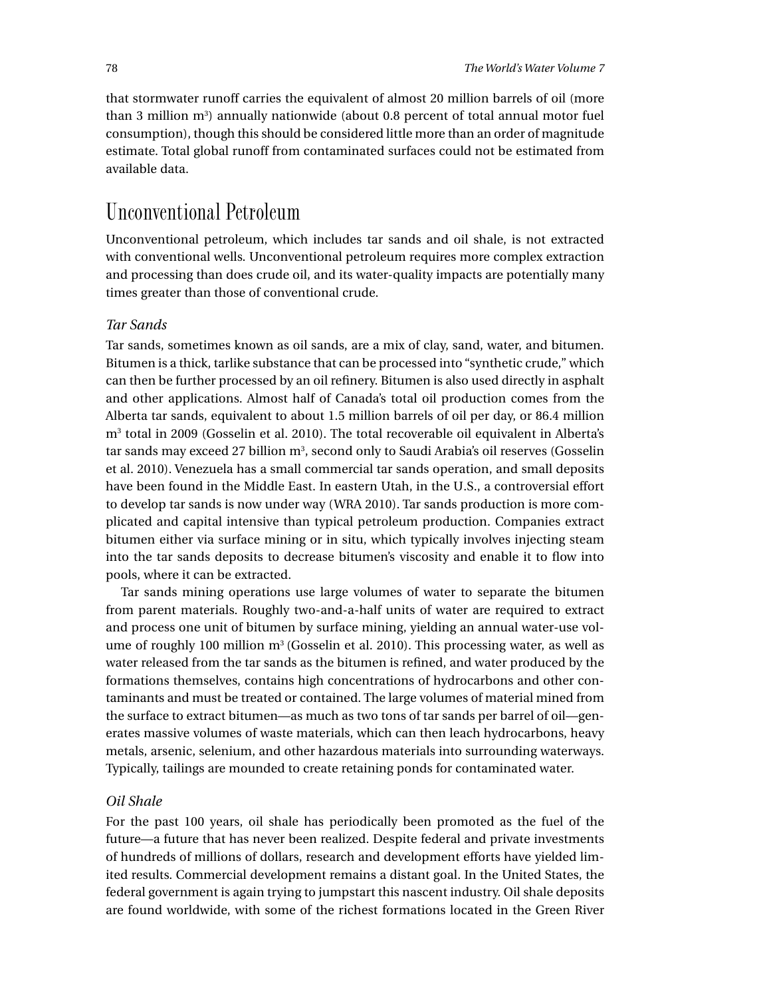that stormwater runoff carries the equivalent of almost 20 million barrels of oil (more than 3 million m<sup>3</sup>) annually nationwide (about 0.8 percent of total annual motor fuel consumption), though this should be considered little more than an order of magnitude estimate. Total global runoff from contaminated surfaces could not be estimated from available data.

Unconventional Petroleum Unconventional petroleum, which includes tar sands and oil shale, is not extracted with conventional wells. Unconventional petroleum requires more complex extraction and processing than does crude oil, and its water-quality impacts are potentially many times greater than those of conventional crude.

### *Tar Sands*

Tar sands, sometimes known as oil sands, are a mix of clay, sand, water, and bitumen. Bitumen is a thick, tarlike substance that can be processed into "synthetic crude," which can then be further processed by an oil refinery. Bitumen is also used directly in asphalt and other applications. Almost half of Canada's total oil production comes from the Alberta tar sands, equivalent to about 1.5 million barrels of oil per day, or 86.4 million m3 total in 2009 (Gosselin et al. 2010). The total recoverable oil equivalent in Alberta's tar sands may exceed 27 billion  $m^3$ , second only to Saudi Arabia's oil reserves (Gosselin et al. 2010). Venezuela has a small commercial tar sands operation, and small deposits have been found in the Middle East. In eastern Utah, in the U.S., a controversial effort to develop tar sands is now under way (WRA 2010). Tar sands production is more complicated and capital intensive than typical petroleum production. Companies extract bitumen either via surface mining or in situ, which typically involves injecting steam into the tar sands deposits to decrease bitumen's viscosity and enable it to flow into pools, where it can be extracted.

Tar sands mining operations use large volumes of water to separate the bitumen from parent materials. Roughly two-and-a-half units of water are required to extract and process one unit of bitumen by surface mining, yielding an annual water-use volume of roughly 100 million  $m<sup>3</sup>$  (Gosselin et al. 2010). This processing water, as well as water released from the tar sands as the bitumen is refined, and water produced by the formations themselves, contains high concentrations of hydrocarbons and other contaminants and must be treated or contained. The large volumes of material mined from the surface to extract bitumen—as much as two tons of tar sands per barrel of oil—generates massive volumes of waste materials, which can then leach hydrocarbons, heavy metals, arsenic, selenium, and other hazardous materials into surrounding waterways. Typically, tailings are mounded to create retaining ponds for contaminated water.

### *Oil Shale*

For the past 100 years, oil shale has periodically been promoted as the fuel of the future—a future that has never been realized. Despite federal and private investments of hundreds of millions of dollars, research and development efforts have yielded limited results. Commercial development remains a distant goal. In the United States, the federal government is again trying to jumpstart this nascent industry. Oil shale deposits are found worldwide, with some of the richest formations located in the Green River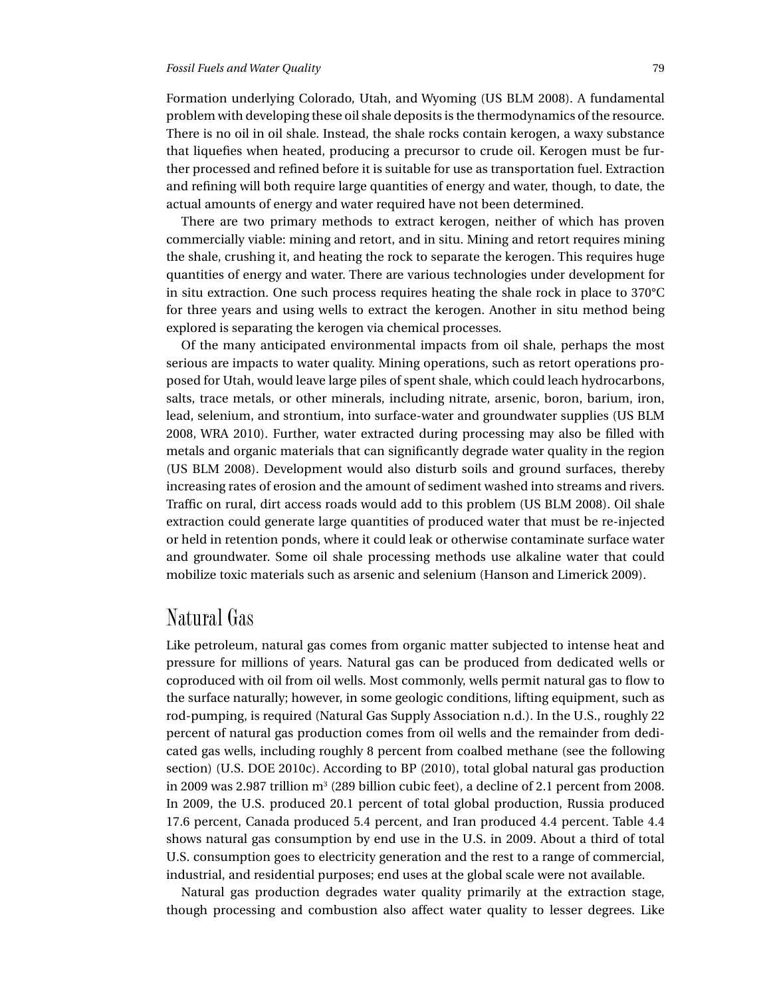### *Fossil Fuels and Water Quality* 79

Formation underlying Colorado, Utah, and Wyoming (US BLM 2008). A fundamental problem with developing these oil shale deposits is the thermodynamics of the resource. There is no oil in oil shale. Instead, the shale rocks contain kerogen, a waxy substance that liquefies when heated, producing a precursor to crude oil. Kerogen must be further processed and refined before it is suitable for use as transportation fuel. Extraction and refining will both require large quantities of energy and water, though, to date, the actual amounts of energy and water required have not been determined.

There are two primary methods to extract kerogen, neither of which has proven commercially viable: mining and retort, and in situ. Mining and retort requires mining the shale, crushing it, and heating the rock to separate the kerogen. This requires huge quantities of energy and water. There are various technologies under development for in situ extraction. One such process requires heating the shale rock in place to 370°C for three years and using wells to extract the kerogen. Another in situ method being explored is separating the kerogen via chemical processes.

Of the many anticipated environmental impacts from oil shale, perhaps the most serious are impacts to water quality. Mining operations, such as retort operations proposed for Utah, would leave large piles of spent shale, which could leach hydrocarbons, salts, trace metals, or other minerals, including nitrate, arsenic, boron, barium, iron, lead, selenium, and strontium, into surface-water and groundwater supplies (US BLM 2008, WRA 2010). Further, water extracted during processing may also be filled with metals and organic materials that can significantly degrade water quality in the region (US BLM 2008). Development would also disturb soils and ground surfaces, thereby increasing rates of erosion and the amount of sediment washed into streams and rivers. Traffic on rural, dirt access roads would add to this problem (US BLM 2008). Oil shale extraction could generate large quantities of produced water that must be re-injected or held in retention ponds, where it could leak or otherwise contaminate surface water and groundwater. Some oil shale processing methods use alkaline water that could mobilize toxic materials such as arsenic and selenium (Hanson and Limerick 2009).

Natural Gas Like petroleum, natural gas comes from organic matter subjected to intense heat and pressure for millions of years. Natural gas can be produced from dedicated wells or coproduced with oil from oil wells. Most commonly, wells permit natural gas to flow to the surface naturally; however, in some geologic conditions, lifting equipment, such as rod-pumping, is required (Natural Gas Supply Association n.d.). In the U.S., roughly 22 percent of natural gas production comes from oil wells and the remainder from dedicated gas wells, including roughly 8 percent from coalbed methane (see the following section) (U.S. DOE 2010c). According to BP (2010), total global natural gas production in 2009 was 2.987 trillion  $m^3$  (289 billion cubic feet), a decline of 2.1 percent from 2008. In 2009, the U.S. produced 20.1 percent of total global production, Russia produced 17.6 percent, Canada produced 5.4 percent, and Iran produced 4.4 percent. Table 4.4 shows natural gas consumption by end use in the U.S. in 2009. About a third of total U.S. consumption goes to electricity generation and the rest to a range of commercial, industrial, and residential purposes; end uses at the global scale were not available.

Natural gas production degrades water quality primarily at the extraction stage, though processing and combustion also affect water quality to lesser degrees. Like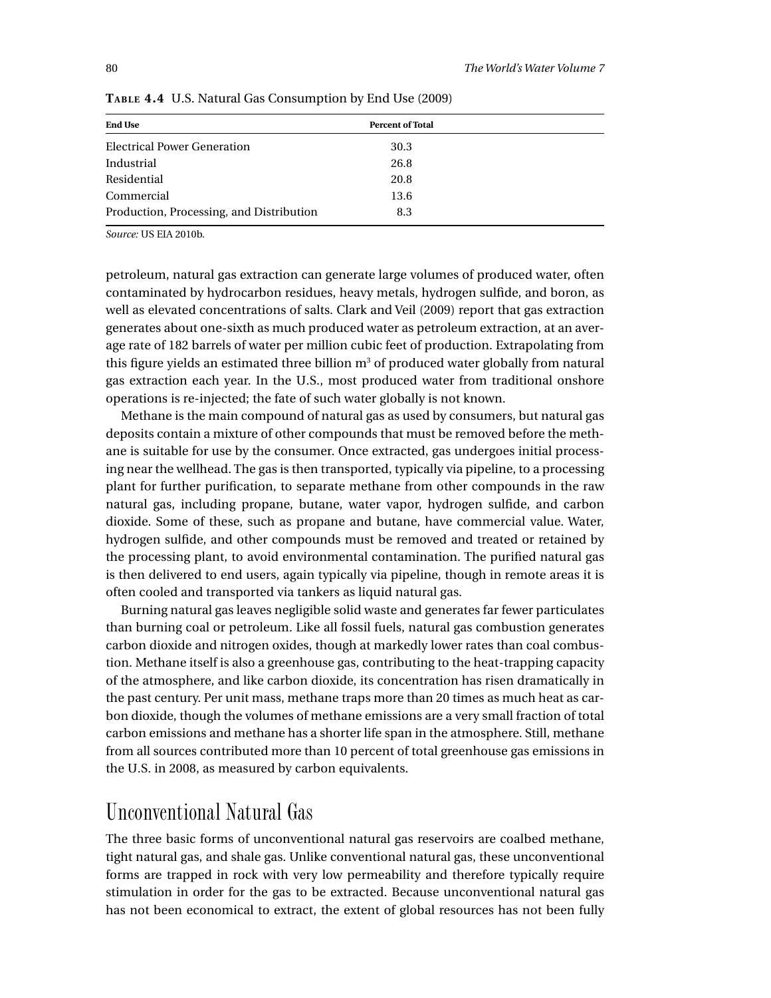| <b>End Use</b>                           | <b>Percent of Total</b> |  |
|------------------------------------------|-------------------------|--|
| <b>Electrical Power Generation</b>       | 30.3                    |  |
| Industrial                               | 26.8                    |  |
| Residential                              | 20.8                    |  |
| Commercial                               | 13.6                    |  |
| Production, Processing, and Distribution | 8.3                     |  |

TABLE 4.4 U.S. Natural Gas Consumption by End Use (2009)

*Source:* US EIA 2010b.

petroleum, natural gas extraction can generate large volumes of produced water, often contaminated by hydrocarbon residues, heavy metals, hydrogen sulfide, and boron, as well as elevated concentrations of salts. Clark and Veil (2009) report that gas extraction generates about one-sixth as much produced water as petroleum extraction, at an average rate of 182 barrels of water per million cubic feet of production. Extrapolating from this figure yields an estimated three billion  $m^3$  of produced water globally from natural gas extraction each year. In the U.S., most produced water from traditional onshore operations is re-injected; the fate of such water globally is not known.

Methane is the main compound of natural gas as used by consumers, but natural gas deposits contain a mixture of other compounds that must be removed before the methane is suitable for use by the consumer. Once extracted, gas undergoes initial processing near the wellhead. The gas is then transported, typically via pipeline, to a processing plant for further purification, to separate methane from other compounds in the raw natural gas, including propane, butane, water vapor, hydrogen sulfide, and carbon dioxide. Some of these, such as propane and butane, have commercial value. Water, hydrogen sulfide, and other compounds must be removed and treated or retained by the processing plant, to avoid environmental contamination. The purified natural gas is then delivered to end users, again typically via pipeline, though in remote areas it is often cooled and transported via tankers as liquid natural gas.

Burning natural gas leaves negligible solid waste and generates far fewer particulates than burning coal or petroleum. Like all fossil fuels, natural gas combustion generates carbon dioxide and nitrogen oxides, though at markedly lower rates than coal combustion. Methane itself is also a greenhouse gas, contributing to the heat-trapping capacity of the atmosphere, and like carbon dioxide, its concentration has risen dramatically in the past century. Per unit mass, methane traps more than 20 times as much heat as carbon dioxide, though the volumes of methane emissions are a very small fraction of total carbon emissions and methane has a shorter life span in the atmosphere. Still, methane from all sources contributed more than 10 percent of total greenhouse gas emissions in the U.S. in 2008, as measured by carbon equivalents.

Unconventional Naturial Gas<br>The three basic forms of unconventional natural gas reservoirs are coalbed methane, tight natural gas, and shale gas. Unlike conventional natural gas, these unconventional forms are trapped in rock with very low permeability and therefore typically require stimulation in order for the gas to be extracted. Because unconventional natural gas has not been economical to extract, the extent of global resources has not been fully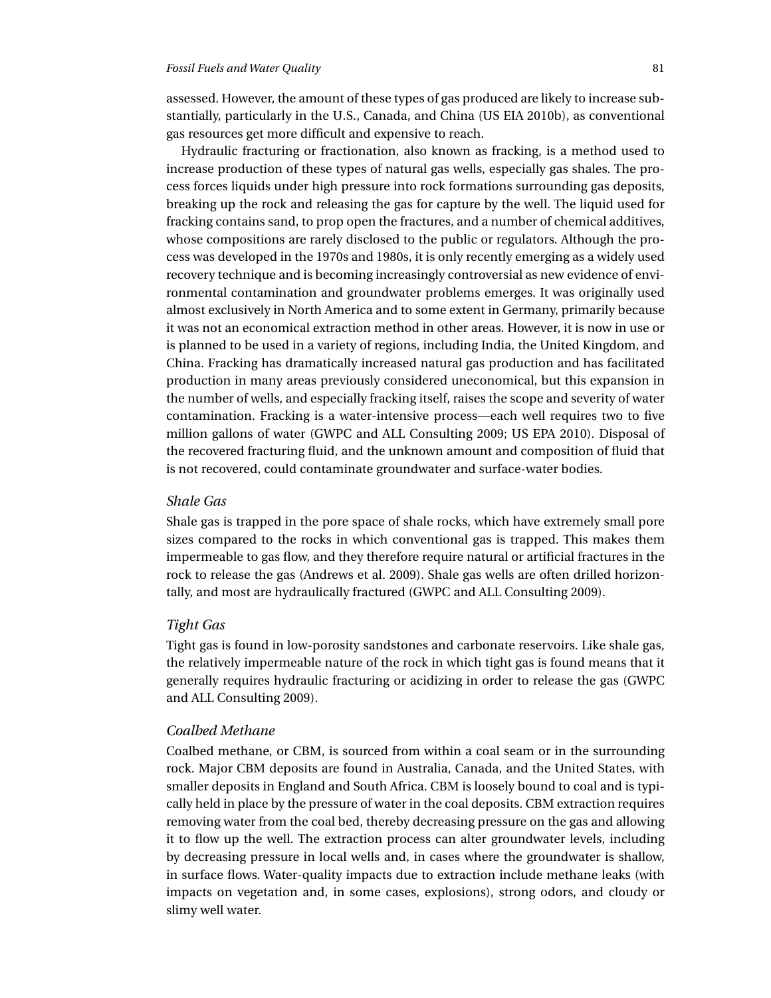assessed. However, the amount of these types of gas produced are likely to increase substantially, particularly in the U.S., Canada, and China (US EIA 2010b), as conventional gas resources get more difficult and expensive to reach.

Hydraulic fracturing or fractionation, also known as fracking, is a method used to increase production of these types of natural gas wells, especially gas shales. The process forces liquids under high pressure into rock formations surrounding gas deposits, breaking up the rock and releasing the gas for capture by the well. The liquid used for fracking contains sand, to prop open the fractures, and a number of chemical additives, whose compositions are rarely disclosed to the public or regulators. Although the process was developed in the 1970s and 1980s, it is only recently emerging as a widely used recovery technique and is becoming increasingly controversial as new evidence of environmental contamination and groundwater problems emerges. It was originally used almost exclusively in North America and to some extent in Germany, primarily because it was not an economical extraction method in other areas. However, it is now in use or is planned to be used in a variety of regions, including India, the United Kingdom, and China. Fracking has dramatically increased natural gas production and has facilitated production in many areas previously considered uneconomical, but this expansion in the number of wells, and especially fracking itself, raises the scope and severity of water contamination. Fracking is a water-intensive process—each well requires two to five million gallons of water (GWPC and ALL Consulting 2009; US EPA 2010). Disposal of the recovered fracturing fluid, and the unknown amount and composition of fluid that is not recovered, could contaminate groundwater and surface-water bodies.

### *Shale Gas*

Shale gas is trapped in the pore space of shale rocks, which have extremely small pore sizes compared to the rocks in which conventional gas is trapped. This makes them impermeable to gas flow, and they therefore require natural or artificial fractures in the rock to release the gas (Andrews et al. 2009). Shale gas wells are often drilled horizontally, and most are hydraulically fractured (GWPC and ALL Consulting 2009).

### *Tight Gas*

Tight gas is found in low-porosity sandstones and carbonate reservoirs. Like shale gas, the relatively impermeable nature of the rock in which tight gas is found means that it generally requires hydraulic fracturing or acidizing in order to release the gas (GWPC and ALL Consulting 2009).

### *Coalbed Methane*

Coalbed methane, or CBM, is sourced from within a coal seam or in the surrounding rock. Major CBM deposits are found in Australia, Canada, and the United States, with smaller deposits in England and South Africa. CBM is loosely bound to coal and is typically held in place by the pressure of water in the coal deposits. CBM extraction requires removing water from the coal bed, thereby decreasing pressure on the gas and allowing it to flow up the well. The extraction process can alter groundwater levels, including by decreasing pressure in local wells and, in cases where the groundwater is shallow, in surface flows. Water-quality impacts due to extraction include methane leaks (with impacts on vegetation and, in some cases, explosions), strong odors, and cloudy or slimy well water.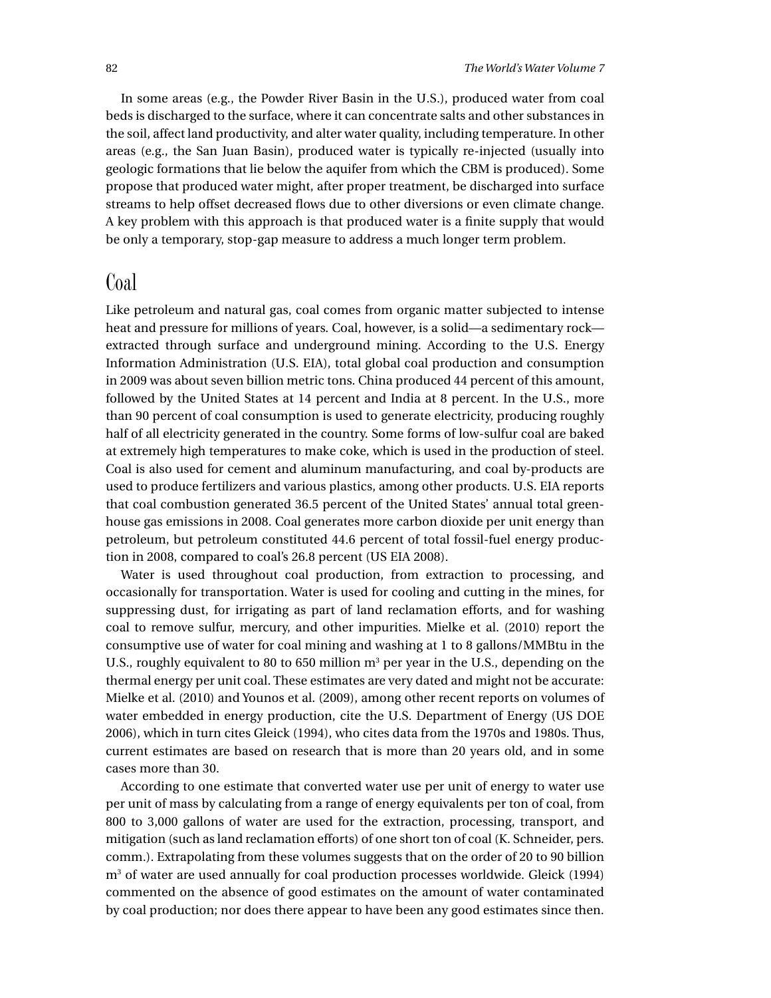In some areas (e.g., the Powder River Basin in the U.S.), produced water from coal beds is discharged to the surface, where it can concentrate salts and other substances in the soil, affect land productivity, and alter water quality, including temperature. In other areas (e.g., the San Juan Basin), produced water is typically re-injected (usually into geologic formations that lie below the aquifer from which the CBM is produced). Some propose that produced water might, after proper treatment, be discharged into surface streams to help offset decreased flows due to other diversions or even climate change. A key problem with this approach is that produced water is a finite supply that would be only a temporary, stop-gap measure to address a much longer term problem.

Coal Like petroleum and natural gas, coal comes from organic matter subjected to intense heat and pressure for millions of years. Coal, however, is a solid—a sedimentary rock extracted through surface and underground mining. According to the U.S. Energy Information Administration (U.S. EIA), total global coal production and consumption in 2009 was about seven billion metric tons. China produced 44 percent of this amount, followed by the United States at 14 percent and India at 8 percent. In the U.S., more than 90 percent of coal consumption is used to generate electricity, producing roughly half of all electricity generated in the country. Some forms of low-sulfur coal are baked at extremely high temperatures to make coke, which is used in the production of steel. Coal is also used for cement and aluminum manufacturing, and coal by-products are used to produce fertilizers and various plastics, among other products. U.S. EIA reports that coal combustion generated 36.5 percent of the United States' annual total greenhouse gas emissions in 2008. Coal generates more carbon dioxide per unit energy than petroleum, but petroleum constituted 44.6 percent of total fossil-fuel energy production in 2008, compared to coal's 26.8 percent (US EIA 2008).

Water is used throughout coal production, from extraction to processing, and occasionally for transportation. Water is used for cooling and cutting in the mines, for suppressing dust, for irrigating as part of land reclamation efforts, and for washing coal to remove sulfur, mercury, and other impurities. Mielke et al. (2010) report the consumptive use of water for coal mining and washing at 1 to 8 gallons/MMBtu in the U.S., roughly equivalent to 80 to 650 million  $m<sup>3</sup>$  per year in the U.S., depending on the thermal energy per unit coal. These estimates are very dated and might not be accurate: Mielke et al. (2010) and Younos et al. (2009), among other recent reports on volumes of water embedded in energy production, cite the U.S. Department of Energy (US DOE 2006), which in turn cites Gleick (1994), who cites data from the 1970s and 1980s. Thus, current estimates are based on research that is more than 20 years old, and in some cases more than 30.

According to one estimate that converted water use per unit of energy to water use per unit of mass by calculating from a range of energy equivalents per ton of coal, from 800 to 3,000 gallons of water are used for the extraction, processing, transport, and mitigation (such as land reclamation efforts) of one short ton of coal (K. Schneider, pers. comm.). Extrapolating from these volumes suggests that on the order of 20 to 90 billion m3 of water are used annually for coal production processes worldwide. Gleick (1994) commented on the absence of good estimates on the amount of water contaminated by coal production; nor does there appear to have been any good estimates since then.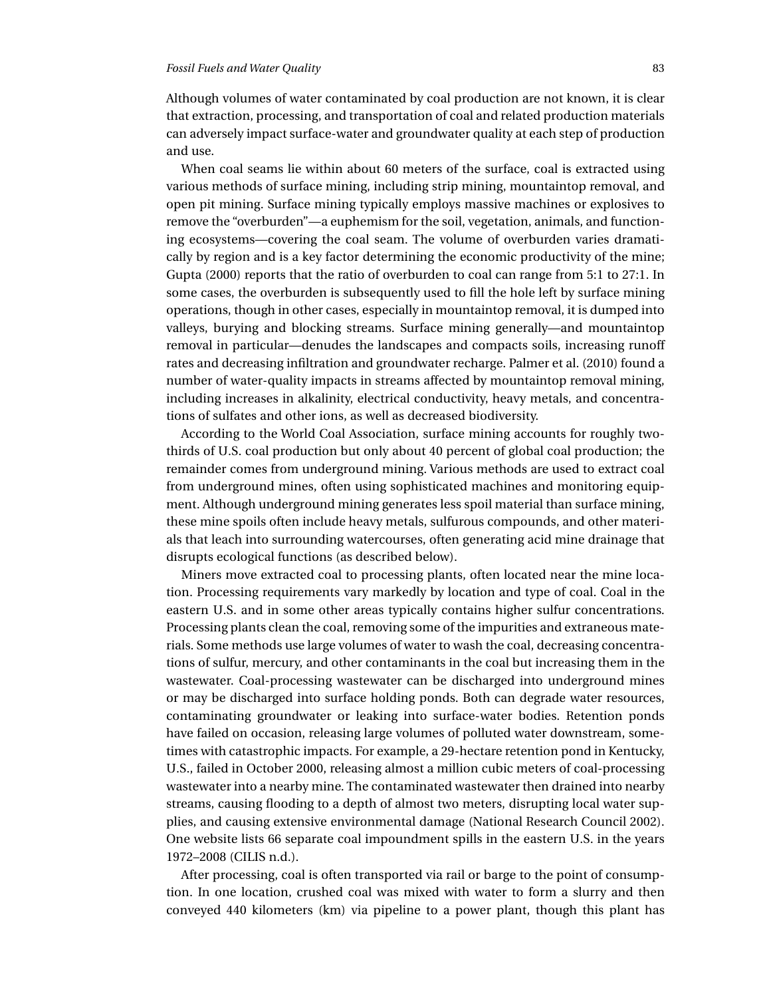Although volumes of water contaminated by coal production are not known, it is clear that extraction, processing, and transportation of coal and related production materials can adversely impact surface-water and groundwater quality at each step of production and use.

When coal seams lie within about 60 meters of the surface, coal is extracted using various methods of surface mining, including strip mining, mountaintop removal, and open pit mining. Surface mining typically employs massive machines or explosives to remove the "overburden"—a euphemism for the soil, vegetation, animals, and functioning ecosystems—covering the coal seam. The volume of overburden varies dramatically by region and is a key factor determining the economic productivity of the mine; Gupta (2000) reports that the ratio of overburden to coal can range from 5:1 to 27:1. In some cases, the overburden is subsequently used to fill the hole left by surface mining operations, though in other cases, especially in mountaintop removal, it is dumped into valleys, burying and blocking streams. Surface mining generally—and mountaintop removal in particular—denudes the landscapes and compacts soils, increasing runoff rates and decreasing infiltration and groundwater recharge. Palmer et al. (2010) found a number of water-quality impacts in streams affected by mountaintop removal mining, including increases in alkalinity, electrical conductivity, heavy metals, and concentrations of sulfates and other ions, as well as decreased biodiversity.

According to the World Coal Association, surface mining accounts for roughly twothirds of U.S. coal production but only about 40 percent of global coal production; the remainder comes from underground mining. Various methods are used to extract coal from underground mines, often using sophisticated machines and monitoring equipment. Although underground mining generates less spoil material than surface mining, these mine spoils often include heavy metals, sulfurous compounds, and other materials that leach into surrounding watercourses, often generating acid mine drainage that disrupts ecological functions (as described below).

Miners move extracted coal to processing plants, often located near the mine location. Processing requirements vary markedly by location and type of coal. Coal in the eastern U.S. and in some other areas typically contains higher sulfur concentrations. Processing plants clean the coal, removing some of the impurities and extraneous materials. Some methods use large volumes of water to wash the coal, decreasing concentrations of sulfur, mercury, and other contaminants in the coal but increasing them in the wastewater. Coal-processing wastewater can be discharged into underground mines or may be discharged into surface holding ponds. Both can degrade water resources, contaminating groundwater or leaking into surface-water bodies. Retention ponds have failed on occasion, releasing large volumes of polluted water downstream, sometimes with catastrophic impacts. For example, a 29-hectare retention pond in Kentucky, U.S., failed in October 2000, releasing almost a million cubic meters of coal-processing wastewater into a nearby mine. The contaminated wastewater then drained into nearby streams, causing flooding to a depth of almost two meters, disrupting local water supplies, and causing extensive environmental damage (National Research Council 2002). One website lists 66 separate coal impoundment spills in the eastern U.S. in the years 1972–2008 (CILIS n.d.).

After processing, coal is often transported via rail or barge to the point of consumption. In one location, crushed coal was mixed with water to form a slurry and then conveyed 440 kilometers (km) via pipeline to a power plant, though this plant has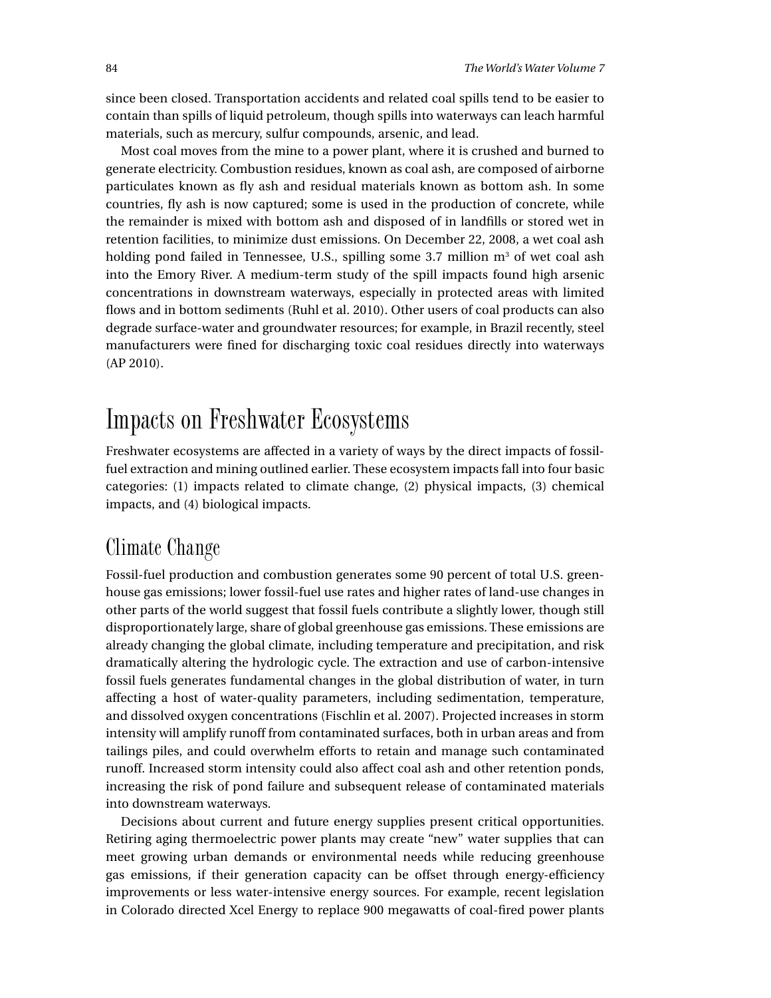since been closed. Transportation accidents and related coal spills tend to be easier to contain than spills of liquid petroleum, though spills into waterways can leach harmful materials, such as mercury, sulfur compounds, arsenic, and lead.

Most coal moves from the mine to a power plant, where it is crushed and burned to generate electricity. Combustion residues, known as coal ash, are composed of airborne particulates known as fly ash and residual materials known as bottom ash. In some countries, fly ash is now captured; some is used in the production of concrete, while the remainder is mixed with bottom ash and disposed of in landfills or stored wet in retention facilities, to minimize dust emissions. On December 22, 2008, a wet coal ash holding pond failed in Tennessee, U.S., spilling some 3.7 million  $m^3$  of wet coal ash into the Emory River. A medium-term study of the spill impacts found high arsenic concentrations in downstream waterways, especially in protected areas with limited flows and in bottom sediments (Ruhl et al. 2010). Other users of coal products can also degrade surface-water and groundwater resources; for example, in Brazil recently, steel manufacturers were fined for discharging toxic coal residues directly into waterways (AP 2010).

## Impacts on Freshwater Ecosystems

Freshwater ecosystems are affected in a variety of ways by the direct impacts of fossilfuel extraction and mining outlined earlier. These ecosystem impacts fall into four basic categories: (1) impacts related to climate change, (2) physical impacts, (3) chemical impacts, and (4) biological impacts.

## Climate Change

Fossil-fuel production and combustion generates some 90 percent of total U.S. greenhouse gas emissions; lower fossil-fuel use rates and higher rates of land-use changes in other parts of the world suggest that fossil fuels contribute a slightly lower, though still disproportionately large, share of global greenhouse gas emissions. These emissions are already changing the global climate, including temperature and precipitation, and risk dramatically altering the hydrologic cycle. The extraction and use of carbon-intensive fossil fuels generates fundamental changes in the global distribution of water, in turn affecting a host of water-quality parameters, including sedimentation, temperature, and dissolved oxygen concentrations (Fischlin et al. 2007). Projected increases in storm intensity will amplify runoff from contaminated surfaces, both in urban areas and from tailings piles, and could overwhelm efforts to retain and manage such contaminated runoff. Increased storm intensity could also affect coal ash and other retention ponds, increasing the risk of pond failure and subsequent release of contaminated materials into downstream waterways.

Decisions about current and future energy supplies present critical opportunities. Retiring aging thermoelectric power plants may create "new" water supplies that can meet growing urban demands or environmental needs while reducing greenhouse gas emissions, if their generation capacity can be offset through energy-efficiency improvements or less water-intensive energy sources. For example, recent legislation in Colorado directed Xcel Energy to replace 900 megawatts of coal-fired power plants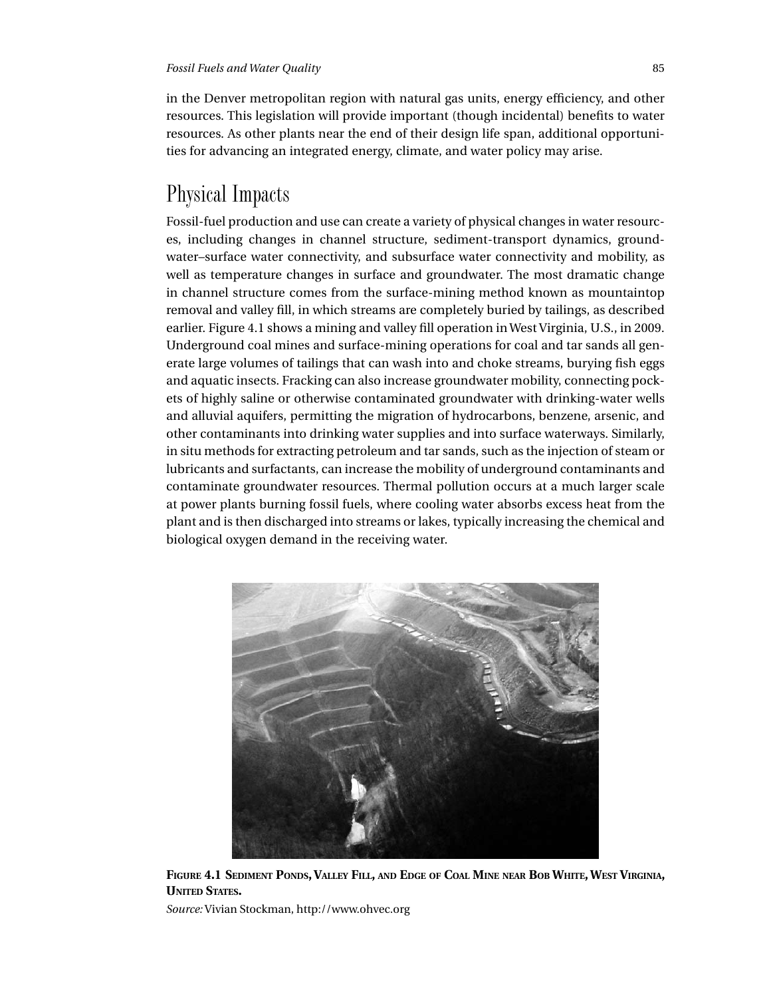in the Denver metropolitan region with natural gas units, energy efficiency, and other resources. This legislation will provide important (though incidental) benefits to water resources. As other plants near the end of their design life span, additional opportunities for advancing an integrated energy, climate, and water policy may arise.

## Physical Impacts

Fossil-fuel production and use can create a variety of physical changes in water resources, including changes in channel structure, sediment-transport dynamics, groundwater–surface water connectivity, and subsurface water connectivity and mobility, as well as temperature changes in surface and groundwater. The most dramatic change in channel structure comes from the surface-mining method known as mountaintop removal and valley fill, in which streams are completely buried by tailings, as described earlier. Figure 4.1 shows a mining and valley fill operation in West Virginia, U.S., in 2009. Underground coal mines and surface-mining operations for coal and tar sands all generate large volumes of tailings that can wash into and choke streams, burying fish eggs and aquatic insects. Fracking can also increase groundwater mobility, connecting pockets of highly saline or otherwise contaminated groundwater with drinking-water wells and alluvial aquifers, permitting the migration of hydrocarbons, benzene, arsenic, and other contaminants into drinking water supplies and into surface waterways. Similarly, in situ methods for extracting petroleum and tar sands, such as the injection of steam or lubricants and surfactants, can increase the mobility of underground contaminants and contaminate groundwater resources. Thermal pollution occurs at a much larger scale at power plants burning fossil fuels, where cooling water absorbs excess heat from the plant and is then discharged into streams or lakes, typically increasing the chemical and biological oxygen demand in the receiving water.



**Figure 4.1 Sediment Ponds, Valley Fill, and Edge of Coal Mine near Bob White, West Virginia, UNITED STATES.** 

*Source:* Vivian Stockman, http://www.ohvec.org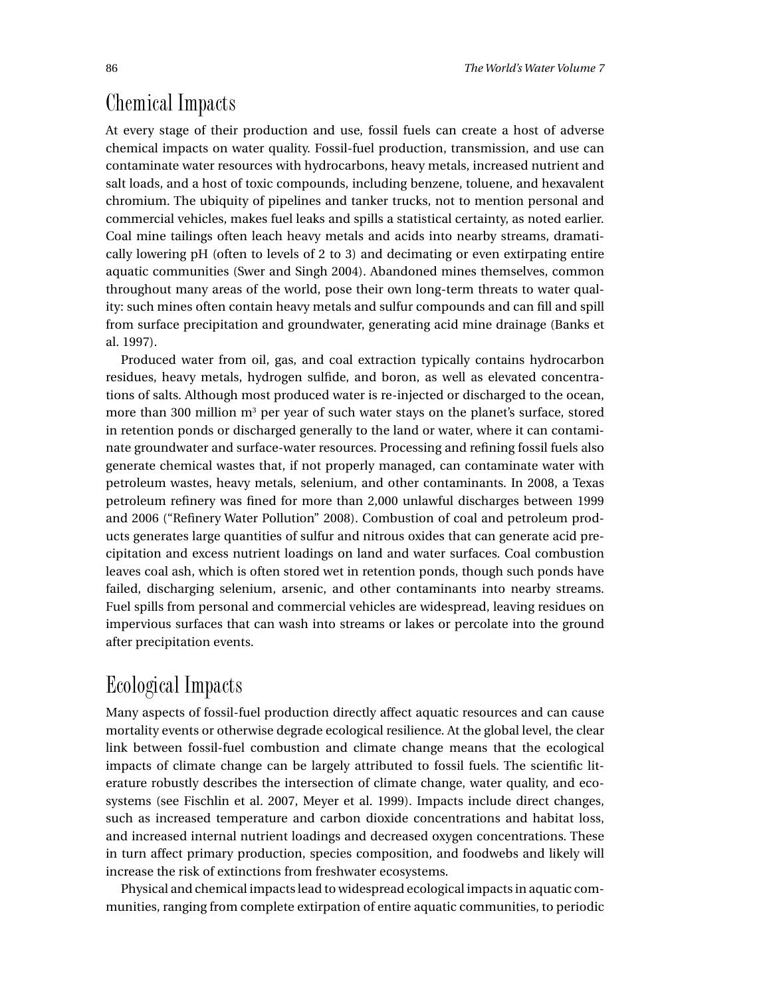## Chemical Impacts

At every stage of their production and use, fossil fuels can create a host of adverse chemical impacts on water quality. Fossil-fuel production, transmission, and use can contaminate water resources with hydrocarbons, heavy metals, increased nutrient and salt loads, and a host of toxic compounds, including benzene, toluene, and hexavalent chromium. The ubiquity of pipelines and tanker trucks, not to mention personal and commercial vehicles, makes fuel leaks and spills a statistical certainty, as noted earlier. Coal mine tailings often leach heavy metals and acids into nearby streams, dramatically lowering pH (often to levels of 2 to 3) and decimating or even extirpating entire aquatic communities (Swer and Singh 2004). Abandoned mines themselves, common throughout many areas of the world, pose their own long-term threats to water quality: such mines often contain heavy metals and sulfur compounds and can fill and spill from surface precipitation and groundwater, generating acid mine drainage (Banks et al. 1997).

Produced water from oil, gas, and coal extraction typically contains hydrocarbon residues, heavy metals, hydrogen sulfide, and boron, as well as elevated concentrations of salts. Although most produced water is re-injected or discharged to the ocean, more than 300 million m<sup>3</sup> per year of such water stays on the planet's surface, stored in retention ponds or discharged generally to the land or water, where it can contaminate groundwater and surface-water resources. Processing and refining fossil fuels also generate chemical wastes that, if not properly managed, can contaminate water with petroleum wastes, heavy metals, selenium, and other contaminants. In 2008, a Texas petroleum refinery was fined for more than 2,000 unlawful discharges between 1999 and 2006 ("Refinery Water Pollution" 2008). Combustion of coal and petroleum products generates large quantities of sulfur and nitrous oxides that can generate acid precipitation and excess nutrient loadings on land and water surfaces. Coal combustion leaves coal ash, which is often stored wet in retention ponds, though such ponds have failed, discharging selenium, arsenic, and other contaminants into nearby streams. Fuel spills from personal and commercial vehicles are widespread, leaving residues on impervious surfaces that can wash into streams or lakes or percolate into the ground after precipitation events.

Ecological Impacts Many aspects of fossil-fuel production directly affect aquatic resources and can cause mortality events or otherwise degrade ecological resilience. At the global level, the clear link between fossil-fuel combustion and climate change means that the ecological impacts of climate change can be largely attributed to fossil fuels. The scientific literature robustly describes the intersection of climate change, water quality, and ecosystems (see Fischlin et al. 2007, Meyer et al. 1999). Impacts include direct changes, such as increased temperature and carbon dioxide concentrations and habitat loss, and increased internal nutrient loadings and decreased oxygen concentrations. These in turn affect primary production, species composition, and foodwebs and likely will increase the risk of extinctions from freshwater ecosystems.

Physical and chemical impacts lead to widespread ecological impacts in aquatic communities, ranging from complete extirpation of entire aquatic communities, to periodic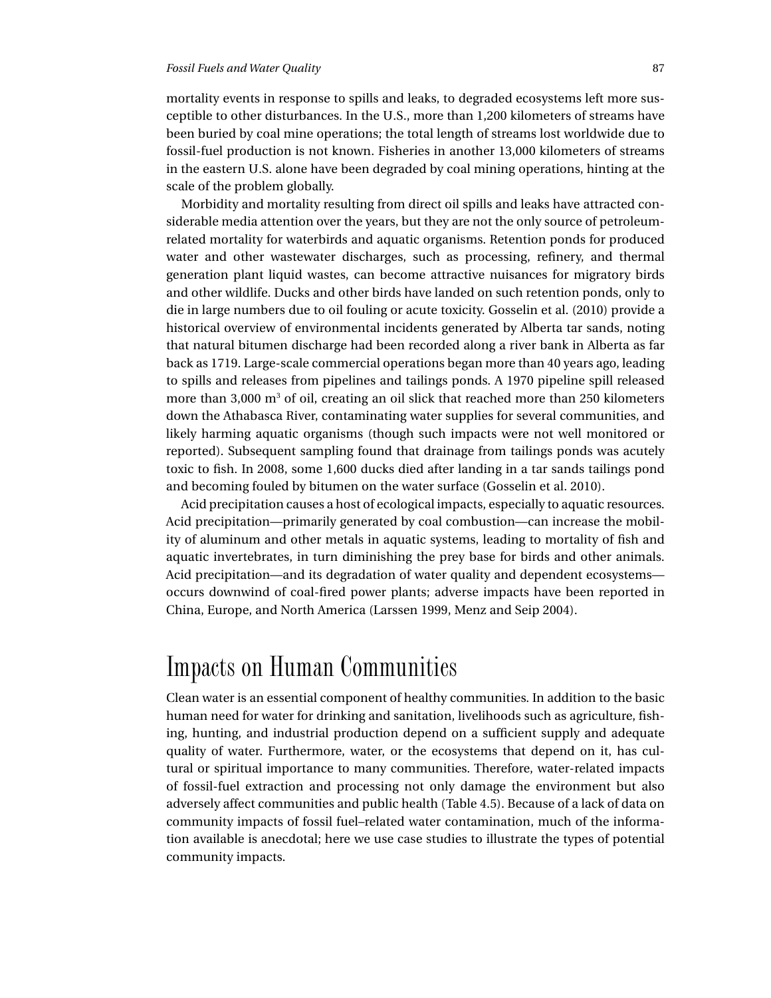### *Fossil Fuels and Water Quality* 87

mortality events in response to spills and leaks, to degraded ecosystems left more susceptible to other disturbances. In the U.S., more than 1,200 kilometers of streams have been buried by coal mine operations; the total length of streams lost worldwide due to fossil-fuel production is not known. Fisheries in another 13,000 kilometers of streams in the eastern U.S. alone have been degraded by coal mining operations, hinting at the scale of the problem globally.

Morbidity and mortality resulting from direct oil spills and leaks have attracted considerable media attention over the years, but they are not the only source of petroleumrelated mortality for waterbirds and aquatic organisms. Retention ponds for produced water and other wastewater discharges, such as processing, refinery, and thermal generation plant liquid wastes, can become attractive nuisances for migratory birds and other wildlife. Ducks and other birds have landed on such retention ponds, only to die in large numbers due to oil fouling or acute toxicity. Gosselin et al. (2010) provide a historical overview of environmental incidents generated by Alberta tar sands, noting that natural bitumen discharge had been recorded along a river bank in Alberta as far back as 1719. Large-scale commercial operations began more than 40 years ago, leading to spills and releases from pipelines and tailings ponds. A 1970 pipeline spill released more than  $3,000$  m<sup>3</sup> of oil, creating an oil slick that reached more than  $250$  kilometers down the Athabasca River, contaminating water supplies for several communities, and likely harming aquatic organisms (though such impacts were not well monitored or reported). Subsequent sampling found that drainage from tailings ponds was acutely toxic to fish. In 2008, some 1,600 ducks died after landing in a tar sands tailings pond and becoming fouled by bitumen on the water surface (Gosselin et al. 2010).

Acid precipitation causes a host of ecological impacts, especially to aquatic resources. Acid precipitation—primarily generated by coal combustion—can increase the mobility of aluminum and other metals in aquatic systems, leading to mortality of fish and aquatic invertebrates, in turn diminishing the prey base for birds and other animals. Acid precipitation—and its degradation of water quality and dependent ecosystems occurs downwind of coal-fired power plants; adverse impacts have been reported in China, Europe, and North America (Larssen 1999, Menz and Seip 2004).

## Impacts on Human Communities

Clean water is an essential component of healthy communities. In addition to the basic human need for water for drinking and sanitation, livelihoods such as agriculture, fishing, hunting, and industrial production depend on a sufficient supply and adequate quality of water. Furthermore, water, or the ecosystems that depend on it, has cultural or spiritual importance to many communities. Therefore, water-related impacts of fossil-fuel extraction and processing not only damage the environment but also adversely affect communities and public health (Table 4.5). Because of a lack of data on community impacts of fossil fuel–related water contamination, much of the information available is anecdotal; here we use case studies to illustrate the types of potential community impacts.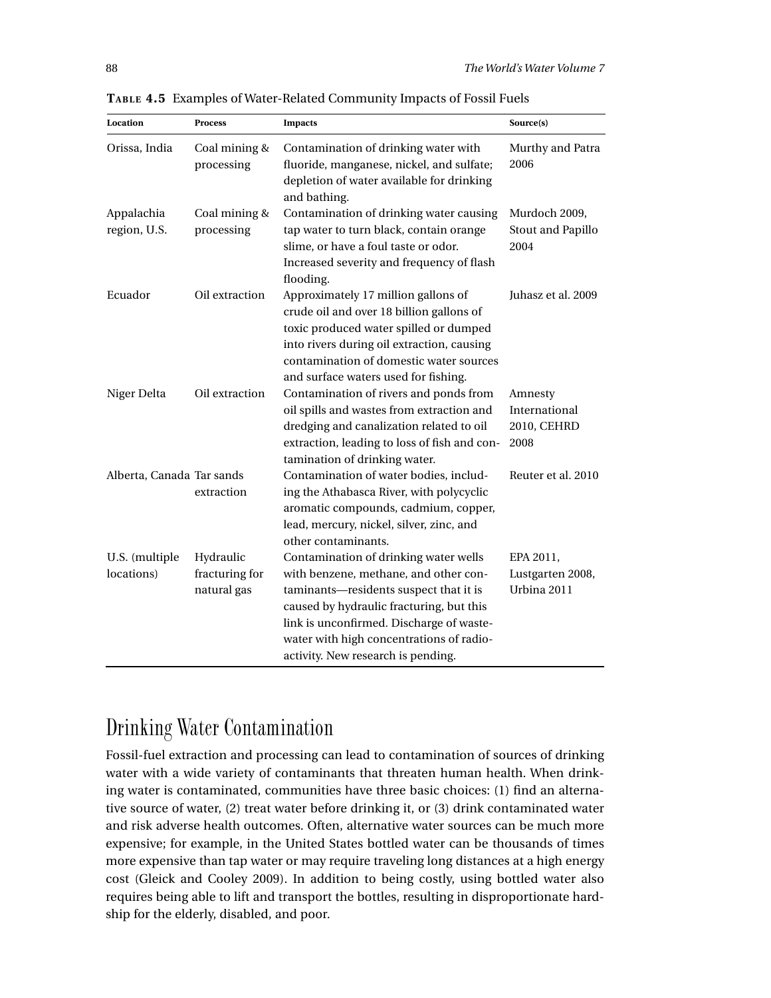| Location                     | <b>Process</b>                             | <b>Impacts</b>                                                                                                                                                                                                                                                                                     | Source(s)                                       |
|------------------------------|--------------------------------------------|----------------------------------------------------------------------------------------------------------------------------------------------------------------------------------------------------------------------------------------------------------------------------------------------------|-------------------------------------------------|
| Orissa, India                | Coal mining &<br>processing                | Contamination of drinking water with<br>fluoride, manganese, nickel, and sulfate;<br>depletion of water available for drinking<br>and bathing.                                                                                                                                                     | Murthy and Patra<br>2006                        |
| Appalachia<br>region, U.S.   | Coal mining &<br>processing                | Contamination of drinking water causing<br>tap water to turn black, contain orange<br>slime, or have a foul taste or odor.<br>Increased severity and frequency of flash<br>flooding.                                                                                                               | Murdoch 2009,<br>Stout and Papillo<br>2004      |
| Ecuador                      | Oil extraction                             | Approximately 17 million gallons of<br>crude oil and over 18 billion gallons of<br>toxic produced water spilled or dumped<br>into rivers during oil extraction, causing<br>contamination of domestic water sources<br>and surface waters used for fishing.                                         | Juhasz et al. 2009                              |
| Niger Delta                  | Oil extraction                             | Contamination of rivers and ponds from<br>oil spills and wastes from extraction and<br>dredging and canalization related to oil<br>extraction, leading to loss of fish and con-<br>tamination of drinking water.                                                                                   | Amnesty<br>International<br>2010, CEHRD<br>2008 |
| Alberta, Canada Tar sands    | extraction                                 | Contamination of water bodies, includ-<br>ing the Athabasca River, with polycyclic<br>aromatic compounds, cadmium, copper,<br>lead, mercury, nickel, silver, zinc, and<br>other contaminants.                                                                                                      | Reuter et al. 2010                              |
| U.S. (multiple<br>locations) | Hydraulic<br>fracturing for<br>natural gas | Contamination of drinking water wells<br>with benzene, methane, and other con-<br>taminants-residents suspect that it is<br>caused by hydraulic fracturing, but this<br>link is unconfirmed. Discharge of waste-<br>water with high concentrations of radio-<br>activity. New research is pending. | EPA 2011,<br>Lustgarten 2008,<br>Urbina 2011    |

TABLE 4.5 Examples of Water-Related Community Impacts of Fossil Fuels

## Drinking Water Contamination

Fossil-fuel extraction and processing can lead to contamination of sources of drinking water with a wide variety of contaminants that threaten human health. When drinking water is contaminated, communities have three basic choices: (1) find an alternative source of water, (2) treat water before drinking it, or (3) drink contaminated water and risk adverse health outcomes. Often, alternative water sources can be much more expensive; for example, in the United States bottled water can be thousands of times more expensive than tap water or may require traveling long distances at a high energy cost (Gleick and Cooley 2009). In addition to being costly, using bottled water also requires being able to lift and transport the bottles, resulting in disproportionate hardship for the elderly, disabled, and poor.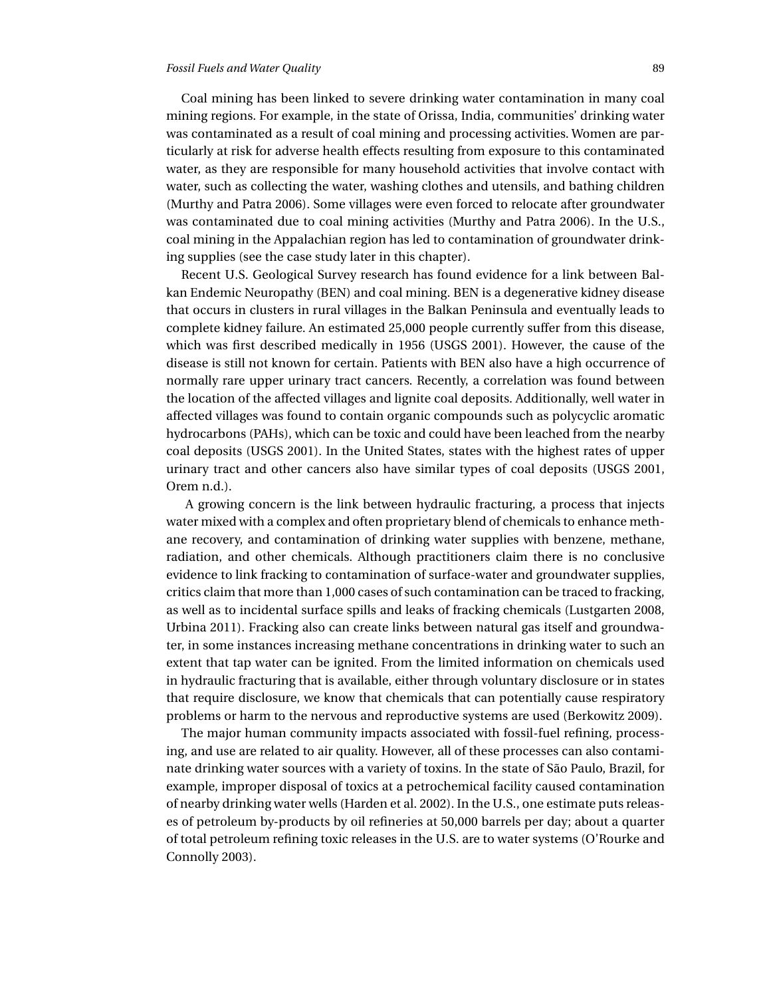Coal mining has been linked to severe drinking water contamination in many coal mining regions. For example, in the state of Orissa, India, communities' drinking water was contaminated as a result of coal mining and processing activities. Women are particularly at risk for adverse health effects resulting from exposure to this contaminated water, as they are responsible for many household activities that involve contact with water, such as collecting the water, washing clothes and utensils, and bathing children (Murthy and Patra 2006). Some villages were even forced to relocate after groundwater was contaminated due to coal mining activities (Murthy and Patra 2006). In the U.S., coal mining in the Appalachian region has led to contamination of groundwater drinking supplies (see the case study later in this chapter).

Recent U.S. Geological Survey research has found evidence for a link between Balkan Endemic Neuropathy (BEN) and coal mining. BEN is a degenerative kidney disease that occurs in clusters in rural villages in the Balkan Peninsula and eventually leads to complete kidney failure. An estimated 25,000 people currently suffer from this disease, which was first described medically in 1956 (USGS 2001). However, the cause of the disease is still not known for certain. Patients with BEN also have a high occurrence of normally rare upper urinary tract cancers. Recently, a correlation was found between the location of the affected villages and lignite coal deposits. Additionally, well water in affected villages was found to contain organic compounds such as polycyclic aromatic hydrocarbons (PAHs), which can be toxic and could have been leached from the nearby coal deposits (USGS 2001). In the United States, states with the highest rates of upper urinary tract and other cancers also have similar types of coal deposits (USGS 2001, Orem n.d.).

 A growing concern is the link between hydraulic fracturing, a process that injects water mixed with a complex and often proprietary blend of chemicals to enhance methane recovery, and contamination of drinking water supplies with benzene, methane, radiation, and other chemicals. Although practitioners claim there is no conclusive evidence to link fracking to contamination of surface-water and groundwater supplies, critics claim that more than 1,000 cases of such contamination can be traced to fracking, as well as to incidental surface spills and leaks of fracking chemicals (Lustgarten 2008, Urbina 2011). Fracking also can create links between natural gas itself and groundwater, in some instances increasing methane concentrations in drinking water to such an extent that tap water can be ignited. From the limited information on chemicals used in hydraulic fracturing that is available, either through voluntary disclosure or in states that require disclosure, we know that chemicals that can potentially cause respiratory problems or harm to the nervous and reproductive systems are used (Berkowitz 2009).

The major human community impacts associated with fossil-fuel refining, processing, and use are related to air quality. However, all of these processes can also contaminate drinking water sources with a variety of toxins. In the state of São Paulo, Brazil, for example, improper disposal of toxics at a petrochemical facility caused contamination of nearby drinking water wells (Harden et al. 2002). In the U.S., one estimate puts releases of petroleum by-products by oil refineries at 50,000 barrels per day; about a quarter of total petroleum refining toxic releases in the U.S. are to water systems (O'Rourke and Connolly 2003).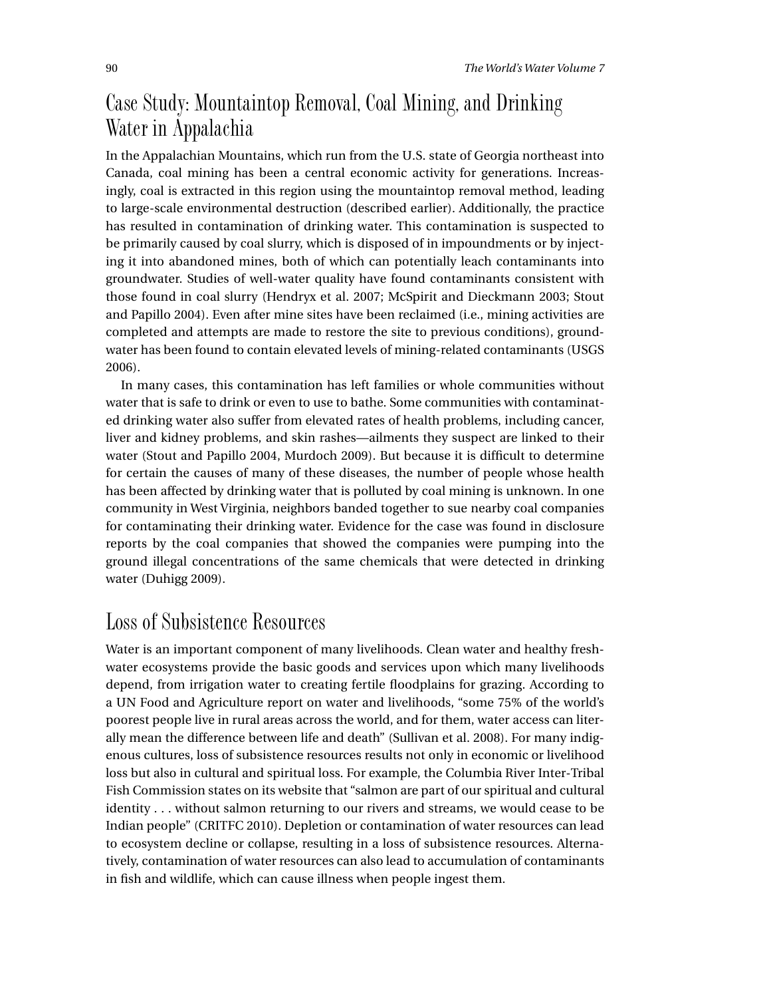# Case Study: Mountaintop Removal, Coal Mining, and Drinking

water 111 Appalachia<br>In the Appalachian Mountains, which run from the U.S. state of Georgia northeast into Canada, coal mining has been a central economic activity for generations. Increasingly, coal is extracted in this region using the mountaintop removal method, leading to large-scale environmental destruction (described earlier). Additionally, the practice has resulted in contamination of drinking water. This contamination is suspected to be primarily caused by coal slurry, which is disposed of in impoundments or by injecting it into abandoned mines, both of which can potentially leach contaminants into groundwater. Studies of well-water quality have found contaminants consistent with those found in coal slurry (Hendryx et al. 2007; McSpirit and Dieckmann 2003; Stout and Papillo 2004). Even after mine sites have been reclaimed (i.e., mining activities are completed and attempts are made to restore the site to previous conditions), groundwater has been found to contain elevated levels of mining-related contaminants (USGS 2006).

In many cases, this contamination has left families or whole communities without water that is safe to drink or even to use to bathe. Some communities with contaminated drinking water also suffer from elevated rates of health problems, including cancer, liver and kidney problems, and skin rashes—ailments they suspect are linked to their water (Stout and Papillo 2004, Murdoch 2009). But because it is difficult to determine for certain the causes of many of these diseases, the number of people whose health has been affected by drinking water that is polluted by coal mining is unknown. In one community in West Virginia, neighbors banded together to sue nearby coal companies for contaminating their drinking water. Evidence for the case was found in disclosure reports by the coal companies that showed the companies were pumping into the ground illegal concentrations of the same chemicals that were detected in drinking water (Duhigg 2009).

Loss of Subsistence Resources Water is an important component of many livelihoods. Clean water and healthy freshwater ecosystems provide the basic goods and services upon which many livelihoods depend, from irrigation water to creating fertile floodplains for grazing. According to a UN Food and Agriculture report on water and livelihoods, "some 75% of the world's poorest people live in rural areas across the world, and for them, water access can literally mean the difference between life and death" (Sullivan et al. 2008). For many indigenous cultures, loss of subsistence resources results not only in economic or livelihood loss but also in cultural and spiritual loss. For example, the Columbia River Inter-Tribal Fish Commission states on its website that "salmon are part of our spiritual and cultural identity . . . without salmon returning to our rivers and streams, we would cease to be Indian people" (CRITFC 2010). Depletion or contamination of water resources can lead to ecosystem decline or collapse, resulting in a loss of subsistence resources. Alternatively, contamination of water resources can also lead to accumulation of contaminants in fish and wildlife, which can cause illness when people ingest them.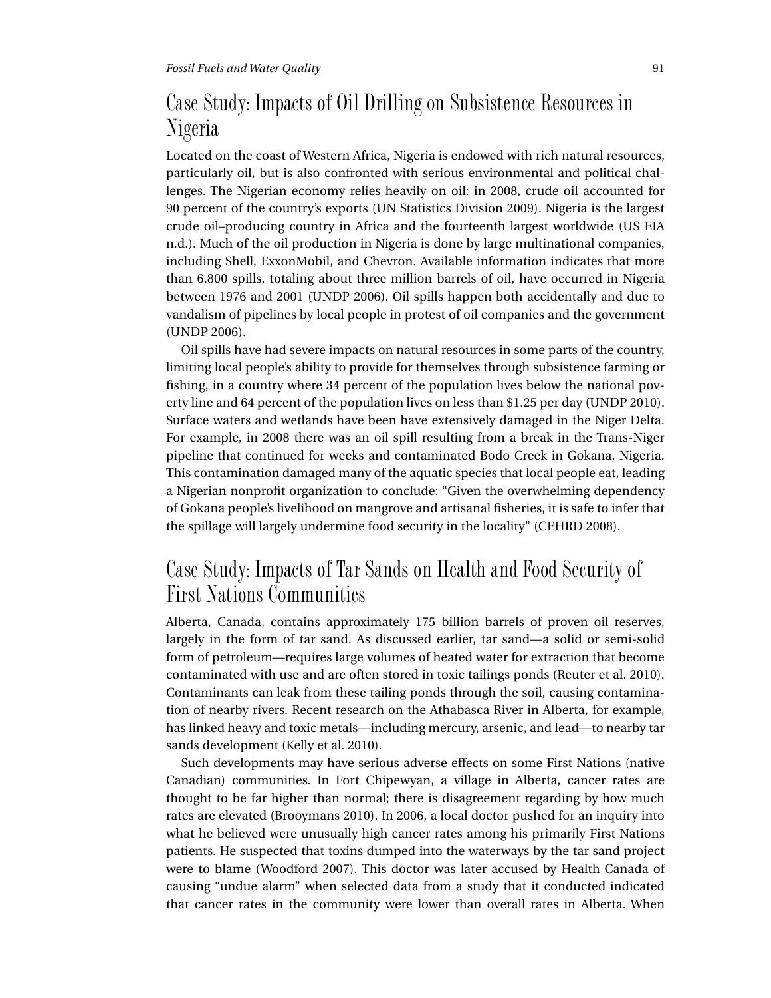## Case Study: Impacts of Oil Drilling on Subsistence Resources in Nigeria

Located on the coast of Western Africa, Nigeria is endowed with rich natural resources, particularly oil, but is also confronted with serious environmental and political challenges. The Nigerian economy relies heavily on oil: in 2008, crude oil accounted for 90 percent of the country's exports (UN Statistics Division 2009). Nigeria is the largest crude oil–producing country in Africa and the fourteenth largest worldwide (US EIA n.d.). Much of the oil production in Nigeria is done by large multinational companies, including Shell, ExxonMobil, and Chevron. Available information indicates that more than 6,800 spills, totaling about three million barrels of oil, have occurred in Nigeria between 1976 and 2001 (UNDP 2006). Oil spills happen both accidentally and due to vandalism of pipelines by local people in protest of oil companies and the government (UNDP 2006).

Oil spills have had severe impacts on natural resources in some parts of the country, limiting local people's ability to provide for themselves through subsistence farming or fishing, in a country where 34 percent of the population lives below the national poverty line and 64 percent of the population lives on less than \$1.25 per day (UNDP 2010). Surface waters and wetlands have been have extensively damaged in the Niger Delta. For example, in 2008 there was an oil spill resulting from a break in the Trans-Niger pipeline that continued for weeks and contaminated Bodo Creek in Gokana, Nigeria. This contamination damaged many of the aquatic species that local people eat, leading a Nigerian nonprofit organization to conclude: "Given the overwhelming dependency of Gokana people's livelihood on mangrove and artisanal fisheries, it is safe to infer that the spillage will largely undermine food security in the locality" (CEHRD 2008).

# Case Study: Impacts of Tar Sands on Health and Food Security of

First Nations Communities Alberta, Canada, contains approximately 175 billion barrels of proven oil reserves, largely in the form of tar sand. As discussed earlier, tar sand—a solid or semi-solid form of petroleum—requires large volumes of heated water for extraction that become contaminated with use and are often stored in toxic tailings ponds (Reuter et al. 2010). Contaminants can leak from these tailing ponds through the soil, causing contamination of nearby rivers. Recent research on the Athabasca River in Alberta, for example, has linked heavy and toxic metals—including mercury, arsenic, and lead—to nearby tar sands development (Kelly et al. 2010).

Such developments may have serious adverse effects on some First Nations (native Canadian) communities. In Fort Chipewyan, a village in Alberta, cancer rates are thought to be far higher than normal; there is disagreement regarding by how much rates are elevated (Brooymans 2010). In 2006, a local doctor pushed for an inquiry into what he believed were unusually high cancer rates among his primarily First Nations patients. He suspected that toxins dumped into the waterways by the tar sand project were to blame (Woodford 2007). This doctor was later accused by Health Canada of causing "undue alarm" when selected data from a study that it conducted indicated that cancer rates in the community were lower than overall rates in Alberta. When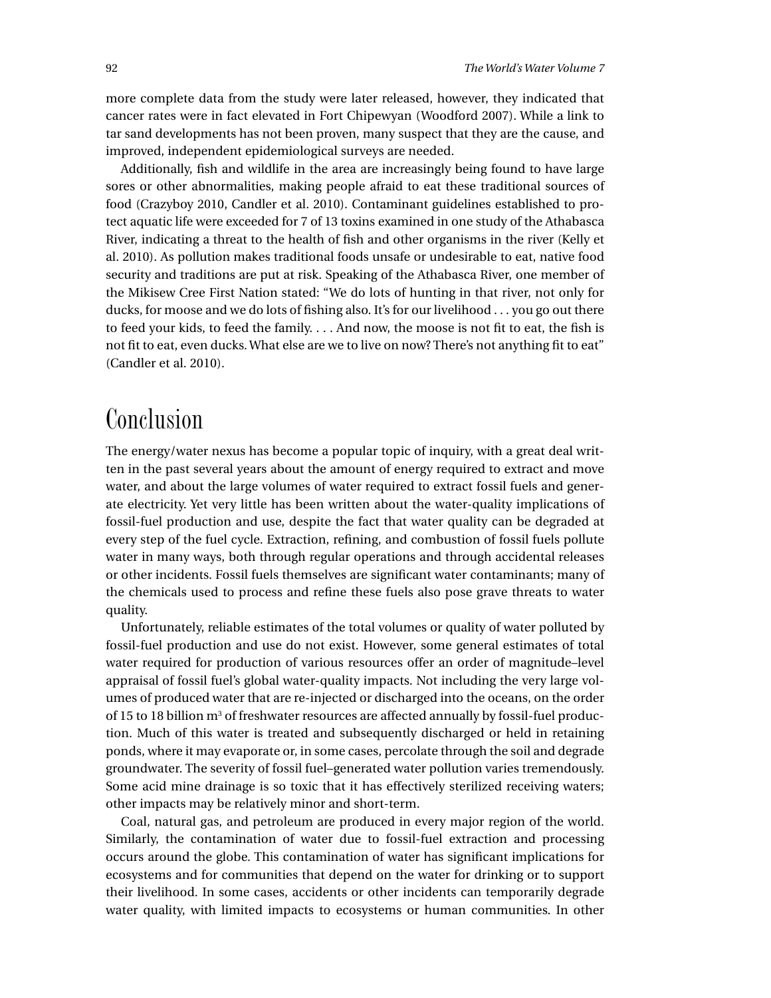more complete data from the study were later released, however, they indicated that cancer rates were in fact elevated in Fort Chipewyan (Woodford 2007). While a link to tar sand developments has not been proven, many suspect that they are the cause, and improved, independent epidemiological surveys are needed.

Additionally, fish and wildlife in the area are increasingly being found to have large sores or other abnormalities, making people afraid to eat these traditional sources of food (Crazyboy 2010, Candler et al. 2010). Contaminant guidelines established to protect aquatic life were exceeded for 7 of 13 toxins examined in one study of the Athabasca River, indicating a threat to the health of fish and other organisms in the river (Kelly et al. 2010). As pollution makes traditional foods unsafe or undesirable to eat, native food security and traditions are put at risk. Speaking of the Athabasca River, one member of the Mikisew Cree First Nation stated: "We do lots of hunting in that river, not only for ducks, for moose and we do lots of fishing also. It's for our livelihood . . . you go out there to feed your kids, to feed the family. . . . And now, the moose is not fit to eat, the fish is not fit to eat, even ducks. What else are we to live on now? There's not anything fit to eat" (Candler et al. 2010).

UUIIUI UNIUII<br>The energy/water nexus has become a popular topic of inquiry, with a great deal written in the past several years about the amount of energy required to extract and move water, and about the large volumes of water required to extract fossil fuels and generate electricity. Yet very little has been written about the water-quality implications of fossil-fuel production and use, despite the fact that water quality can be degraded at every step of the fuel cycle. Extraction, refining, and combustion of fossil fuels pollute water in many ways, both through regular operations and through accidental releases or other incidents. Fossil fuels themselves are significant water contaminants; many of the chemicals used to process and refine these fuels also pose grave threats to water quality.

Unfortunately, reliable estimates of the total volumes or quality of water polluted by fossil-fuel production and use do not exist. However, some general estimates of total water required for production of various resources offer an order of magnitude–level appraisal of fossil fuel's global water-quality impacts. Not including the very large volumes of produced water that are re-injected or discharged into the oceans, on the order of 15 to 18 billion  $m^3$  of freshwater resources are affected annually by fossil-fuel production. Much of this water is treated and subsequently discharged or held in retaining ponds, where it may evaporate or, in some cases, percolate through the soil and degrade groundwater. The severity of fossil fuel–generated water pollution varies tremendously. Some acid mine drainage is so toxic that it has effectively sterilized receiving waters; other impacts may be relatively minor and short-term.

Coal, natural gas, and petroleum are produced in every major region of the world. Similarly, the contamination of water due to fossil-fuel extraction and processing occurs around the globe. This contamination of water has significant implications for ecosystems and for communities that depend on the water for drinking or to support their livelihood. In some cases, accidents or other incidents can temporarily degrade water quality, with limited impacts to ecosystems or human communities. In other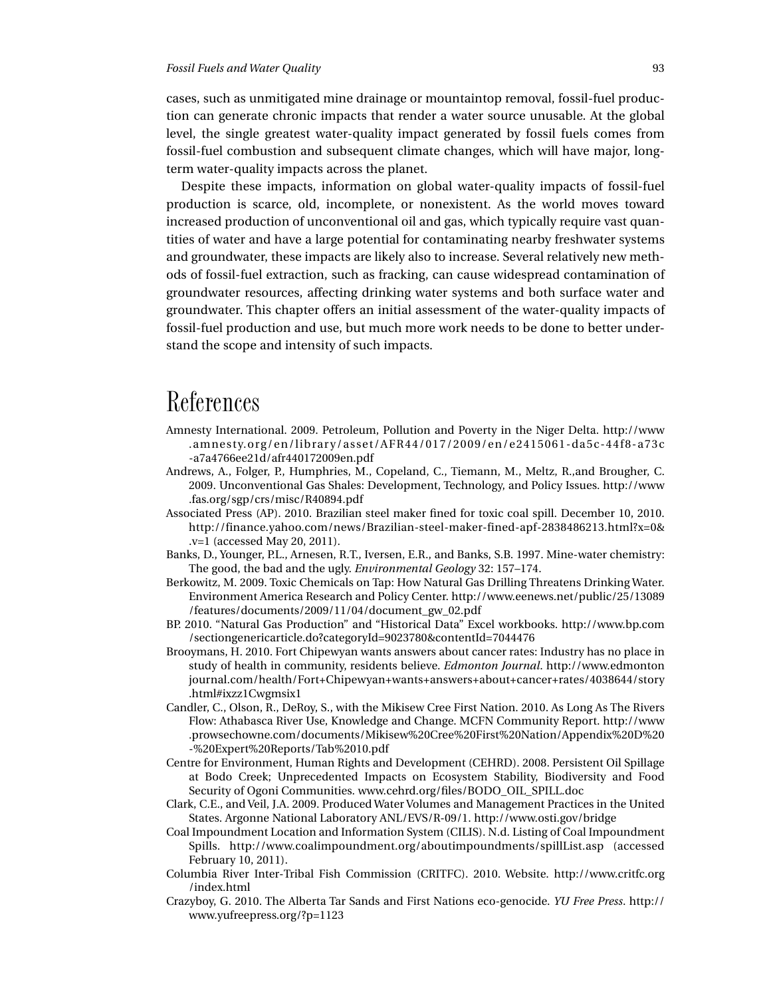cases, such as unmitigated mine drainage or mountaintop removal, fossil-fuel production can generate chronic impacts that render a water source unusable. At the global level, the single greatest water-quality impact generated by fossil fuels comes from fossil-fuel combustion and subsequent climate changes, which will have major, longterm water-quality impacts across the planet.

Despite these impacts, information on global water-quality impacts of fossil-fuel production is scarce, old, incomplete, or nonexistent. As the world moves toward increased production of unconventional oil and gas, which typically require vast quantities of water and have a large potential for contaminating nearby freshwater systems and groundwater, these impacts are likely also to increase. Several relatively new methods of fossil-fuel extraction, such as fracking, can cause widespread contamination of groundwater resources, affecting drinking water systems and both surface water and groundwater. This chapter offers an initial assessment of the water-quality impacts of fossil-fuel production and use, but much more work needs to be done to better understand the scope and intensity of such impacts.

- 10U1U1U1UU)<br>Amnesty International. 2009. Petroleum, Pollution and Poverty in the Niger Delta. http://www .amnesty.org/en/librar y/asset/AFR44/017/2009/en/e2415061-da5c-44f8-a73c -a7a4766ee21d/afr440172009en.pdf
- Andrews, A., Folger, P., Humphries, M., Copeland, C., Tiemann, M., Meltz, R.,and Brougher, C. 2009. Unconventional Gas Shales: Development, Technology, and Policy Issues. http://www .fas.org/sgp/crs/misc/R40894.pdf
- Associated Press (AP). 2010. Brazilian steel maker fined for toxic coal spill. December 10, 2010. http://finance.yahoo.com/news/Brazilian-steel-maker-fined-apf-2838486213.html?x=0& .v=1 (accessed May 20, 2011).
- Banks, D., Younger, P.L., Arnesen, R.T., Iversen, E.R., and Banks, S.B. 1997. Mine-water chemistry: The good, the bad and the ugly. *Environmental Geology* 32: 157–174.
- Berkowitz, M. 2009. Toxic Chemicals on Tap: How Natural Gas Drilling Threatens Drinking Water. Environment America Research and Policy Center. http://www.eenews.net/public/25/13089 /features/documents/2009/11/04/document\_gw\_02.pdf
- BP. 2010. "Natural Gas Production" and "Historical Data" Excel workbooks. http://www.bp.com /sectiongenericarticle.do?categoryId=9023780&contentId=7044476
- Brooymans, H. 2010. Fort Chipewyan wants answers about cancer rates: Industry has no place in study of health in community, residents believe. *Edmonton Journal*. http://www.edmonton journal.com/health/Fort+Chipewyan+wants+answers+about+cancer+rates/4038644/story .html#ixzz1Cwgmsix1
- Candler, C., Olson, R., DeRoy, S., with the Mikisew Cree First Nation. 2010. As Long As The Rivers Flow: Athabasca River Use, Knowledge and Change. MCFN Community Report. http://www .prowsechowne.com/documents/Mikisew%20Cree%20First%20Nation/Appendix%20D%20 -%20Expert%20Reports/Tab%2010.pdf
- Centre for Environment, Human Rights and Development (CEHRD). 2008. Persistent Oil Spillage at Bodo Creek; Unprecedented Impacts on Ecosystem Stability, Biodiversity and Food Security of Ogoni Communities. www.cehrd.org/files/BODO\_OIL\_SPILL.doc
- Clark, C.E., and Veil, J.A. 2009. Produced Water Volumes and Management Practices in the United States. Argonne National Laboratory ANL/EVS/R-09/1. http://www.osti.gov/bridge
- Coal Impoundment Location and Information System (CILIS). N.d. Listing of Coal Impoundment Spills. http://www.coalimpoundment.org/aboutimpoundments/spillList.asp (accessed February 10, 2011).
- Columbia River Inter-Tribal Fish Commission (CRITFC). 2010. Website. http://www.critfc.org /index.html
- Crazyboy, G. 2010. The Alberta Tar Sands and First Nations eco-genocide. *YU Free Press*. http:// www.yufreepress.org/?p=1123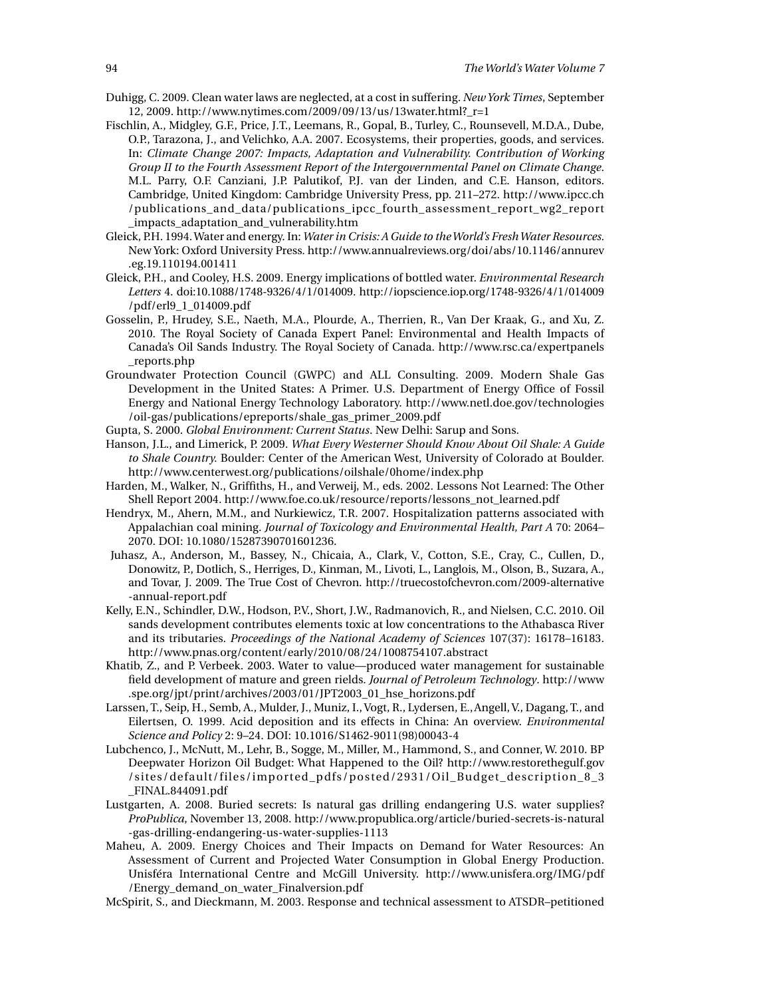- Duhigg, C. 2009. Clean water laws are neglected, at a cost in suffering. *New York Times*, September 12, 2009. http://www.nytimes.com/2009/09/13/us/13water.html?\_r=1
- Fischlin, A., Midgley, G.F., Price, J.T., Leemans, R., Gopal, B., Turley, C., Rounsevell, M.D.A., Dube, O.P., Tarazona, J., and Velichko, A.A. 2007. Ecosystems, their properties, goods, and services. In: *Climate Change 2007: Impacts, Adaptation and Vulnerability. Contribution of Working Group II to the Fourth Assessment Report of the Intergovernmental Panel on Climate Change*. M.L. Parry, O.F. Canziani, J.P. Palutikof, P.J. van der Linden, and C.E. Hanson, editors. Cambridge, United Kingdom: Cambridge University Press, pp. 211–272. http://www.ipcc.ch /publications\_and\_data/publications\_ipcc\_fourth\_assessment\_report\_wg2\_report \_impacts\_adaptation\_and\_vulnerability.htm
- Gleick, P.H. 1994. Water and energy. In: *Water in Crisis: A Guide to the World's Fresh Water Resources.*  New York: Oxford University Press*.* http://www.annualreviews.org/doi/abs/10.1146/annurev .eg.19.110194.001411
- Gleick, P.H., and Cooley, H.S. 2009. Energy implications of bottled water. *Environmental Research Letters* 4. doi:10.1088/1748-9326/4/1/014009. http://iopscience.iop.org/1748-9326/4/1/014009 /pdf/erl9\_1\_014009.pdf
- Gosselin, P., Hrudey, S.E., Naeth, M.A., Plourde, A., Therrien, R., Van Der Kraak, G., and Xu, Z. 2010. The Royal Society of Canada Expert Panel: Environmental and Health Impacts of Canada's Oil Sands Industry. The Royal Society of Canada. http://www.rsc.ca/expertpanels \_reports.php
- Groundwater Protection Council (GWPC) and ALL Consulting. 2009. Modern Shale Gas Development in the United States: A Primer. U.S. Department of Energy Office of Fossil Energy and National Energy Technology Laboratory. http://www.netl.doe.gov/technologies /oil-gas/publications/epreports/shale\_gas\_primer\_2009.pdf
- Gupta, S. 2000. *Global Environment: Current Status*. New Delhi: Sarup and Sons.
- Hanson, J.L., and Limerick, P. 2009. *What Every Westerner Should Know About Oil Shale: A Guide to Shale Country.* Boulder: Center of the American West, University of Colorado at Boulder. http://www.centerwest.org/publications/oilshale/0home/index.php
- Harden, M., Walker, N., Griffiths, H., and Verweij, M., eds. 2002. Lessons Not Learned: The Other Shell Report 2004. http://www.foe.co.uk/resource/reports/lessons\_not\_learned.pdf
- Hendryx, M., Ahern, M.M., and Nurkiewicz, T.R. 2007. Hospitalization patterns associated with Appalachian coal mining. *Journal of Toxicology and Environmental Health, Part A* 70: 2064– 2070. DOI: 10.1080/15287390701601236.
- Juhasz, A., Anderson, M., Bassey, N., Chicaia, A., Clark, V., Cotton, S.E., Cray, C., Cullen, D., Donowitz, P., Dotlich, S., Herriges, D., Kinman, M., Livoti, L., Langlois, M., Olson, B., Suzara, A., and Tovar, J. 2009. The True Cost of Chevron. http://truecostofchevron.com/2009-alternative -annual-report.pdf
- Kelly, E.N., Schindler, D.W., Hodson, P.V., Short, J.W., Radmanovich, R., and Nielsen, C.C. 2010. Oil sands development contributes elements toxic at low concentrations to the Athabasca River and its tributaries. *Proceedings of the National Academy of Sciences* 107(37): 16178–16183. http://www.pnas.org/content/early/2010/08/24/1008754107.abstract
- Khatib, Z., and P. Verbeek. 2003. Water to value—produced water management for sustainable field development of mature and green rields. *Journal of Petroleum Technology*. http://www .spe.org/jpt/print/archives/2003/01/JPT2003\_01\_hse\_horizons.pdf
- Larssen, T., Seip, H., Semb, A., Mulder, J., Muniz, I., Vogt, R., Lydersen, E.,Angell, V., Dagang, T., and Eilertsen, O. 1999. Acid deposition and its effects in China: An overview. *Environmental Science and Policy* 2: 9–24. DOI: 10.1016/S1462-9011(98)00043-4
- Lubchenco, J., McNutt, M., Lehr, B., Sogge, M., Miller, M., Hammond, S., and Conner, W. 2010. BP Deepwater Horizon Oil Budget: What Happened to the Oil? http://www.restorethegulf.gov /sites/default/files/imported\_pdfs/posted/2931/Oil\_Budget\_description\_8\_3 \_FINAL.844091.pdf
- Lustgarten, A. 2008. Buried secrets: Is natural gas drilling endangering U.S. water supplies? *ProPublica*, November 13, 2008. http://www.propublica.org/article/buried-secrets-is-natural -gas-drilling-endangering-us-water-supplies-1113
- Maheu, A. 2009. Energy Choices and Their Impacts on Demand for Water Resources: An Assessment of Current and Projected Water Consumption in Global Energy Production. Unisféra International Centre and McGill University. http://www.unisfera.org/IMG/pdf /Energy\_demand\_on\_water\_Finalversion.pdf
- McSpirit, S., and Dieckmann, M. 2003. Response and technical assessment to ATSDR–petitioned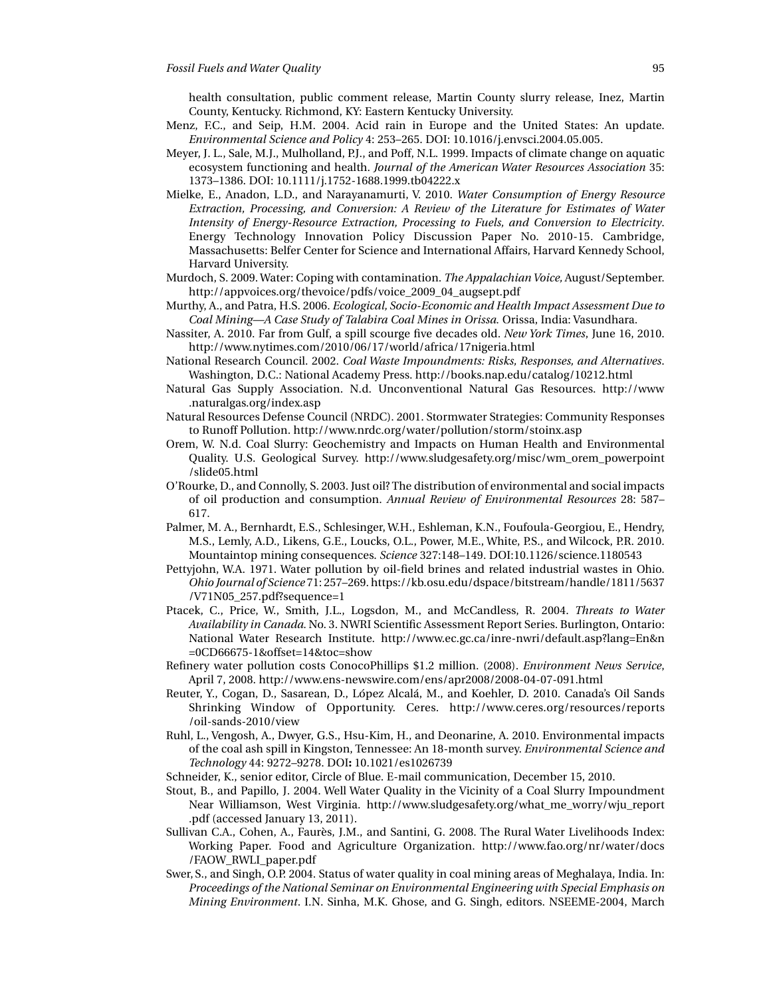health consultation, public comment release, Martin County slurry release, Inez, Martin County, Kentucky. Richmond, KY: Eastern Kentucky University.

- Menz, E.C., and Seip, H.M. 2004. Acid rain in Europe and the United States: An update. *Environmental Science and Policy* 4: 253–265. DOI: 10.1016/j.envsci.2004.05.005.
- Meyer, J. L., Sale, M.J., Mulholland, P.J., and Poff, N.L. 1999. Impacts of climate change on aquatic ecosystem functioning and health. *Journal of the American Water Resources Association* 35: 1373–1386. DOI: 10.1111/j.1752-1688.1999.tb04222.x
- Mielke, E., Anadon, L.D., and Narayanamurti, V. 2010. *Water Consumption of Energy Resource Extraction, Processing, and Conversion: A Review of the Literature for Estimates of Water Intensity of Energy-Resource Extraction, Processing to Fuels, and Conversion to Electricity*. Energy Technology Innovation Policy Discussion Paper No. 2010-15. Cambridge, Massachusetts: Belfer Center for Science and International Affairs, Harvard Kennedy School, Harvard University.
- Murdoch, S. 2009. Water: Coping with contamination. *The Appalachian Voice,* August/September. http://appvoices.org/thevoice/pdfs/voice\_2009\_04\_augsept.pdf
- Murthy, A., and Patra, H.S. 2006. *Ecological, Socio-Economic and Health Impact Assessment Due to Coal Mining—A Case Study of Talabira Coal Mines in Orissa.* Orissa, India: Vasundhara.
- Nassiter, A. 2010. Far from Gulf, a spill scourge five decades old. *New York Times*, June 16, 2010. http://www.nytimes.com/2010/06/17/world/africa/17nigeria.html
- National Research Council. 2002. *Coal Waste Impoundments: Risks, Responses, and Alternatives*. Washington, D.C.: National Academy Press. http://books.nap.edu/catalog/10212.html
- Natural Gas Supply Association. N.d. Unconventional Natural Gas Resources. http://www .naturalgas.org/index.asp
- Natural Resources Defense Council (NRDC). 2001. Stormwater Strategies: Community Responses to Runoff Pollution. http://www.nrdc.org/water/pollution/storm/stoinx.asp
- Orem, W. N.d. Coal Slurry: Geochemistry and Impacts on Human Health and Environmental Quality. U.S. Geological Survey. http://www.sludgesafety.org/misc/wm\_orem\_powerpoint /slide05.html
- O'Rourke, D., and Connolly, S. 2003. Just oil? The distribution of environmental and social impacts of oil production and consumption. *Annual Review of Environmental Resources* 28: 587– 617.
- Palmer, M. A., Bernhardt, E.S., Schlesinger, W.H., Eshleman, K.N., Foufoula-Georgiou, E., Hendry, M.S., Lemly, A.D., Likens, G.E., Loucks, O.L., Power, M.E., White, P.S., and Wilcock, P.R. 2010. Mountaintop mining consequences. *Science* 327:148–149. DOI:10.1126/science.1180543
- Pettyjohn, W.A. 1971. Water pollution by oil-field brines and related industrial wastes in Ohio. *Ohio Journal of Science* 71: 257–269. https://kb.osu.edu/dspace/bitstream/handle/1811/5637 /V71N05\_257.pdf?sequence=1
- Ptacek, C., Price, W., Smith, J.L., Logsdon, M., and McCandless, R. 2004. *Threats to Water Availability in Canada.* No. 3. NWRI Scientific Assessment Report Series. Burlington, Ontario: National Water Research Institute. http://www.ec.gc.ca/inre-nwri/default.asp?lang=En&n =0CD66675-1&offset=14&toc=show
- Refinery water pollution costs ConocoPhillips \$1.2 million. (2008). *Environment News Service*, April 7, 2008. http://www.ens-newswire.com/ens/apr2008/2008-04-07-091.html
- Reuter, Y., Cogan, D., Sasarean, D., López Alcalá, M., and Koehler, D. 2010. Canada's Oil Sands Shrinking Window of Opportunity. Ceres. http://www.ceres.org/resources/reports /oil-sands-2010/view
- Ruhl, L., Vengosh, A., Dwyer, G.S., Hsu-Kim, H., and Deonarine, A. 2010. Environmental impacts of the coal ash spill in Kingston, Tennessee: An 18-month survey. *Environmental Science and Technology* 44: 9272–9278. DOI**:** 10.1021/es1026739
- Schneider, K., senior editor, Circle of Blue. E-mail communication, December 15, 2010.
- Stout, B., and Papillo, J. 2004. Well Water Quality in the Vicinity of a Coal Slurry Impoundment Near Williamson, West Virginia. http://www.sludgesafety.org/what\_me\_worry/wju\_report .pdf (accessed January 13, 2011).
- Sullivan C.A., Cohen, A., Faurès, J.M., and Santini, G. 2008. The Rural Water Livelihoods Index: Working Paper. Food and Agriculture Organization. http://www.fao.org/nr/water/docs /FAOW\_RWLI\_paper.pdf
- Swer, S., and Singh, O.P. 2004. Status of water quality in coal mining areas of Meghalaya, India. In: *Proceedings of the National Seminar on Environmental Engineering with Special Emphasis on Mining Environment*. I.N. Sinha, M.K. Ghose, and G. Singh, editors. NSEEME-2004, March